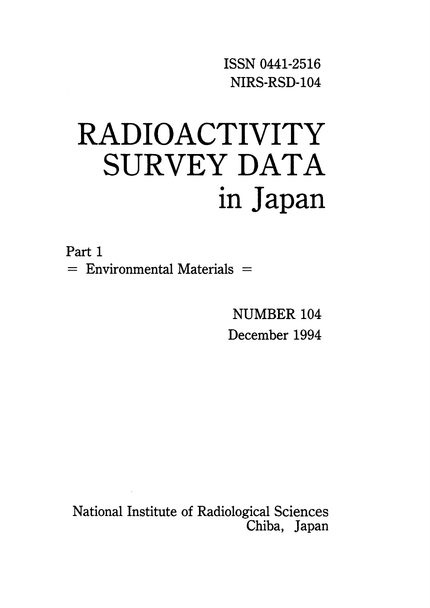ISSNO441-2516 NIRS・RSD-104

# RADIOACTIVITY SURVEY DATA in Japan

Part 1  $=$  Environmental Materials  $=$ 

> NUMBER 104 December 1994

National Institute of Radiological Sciences Chiba, Japan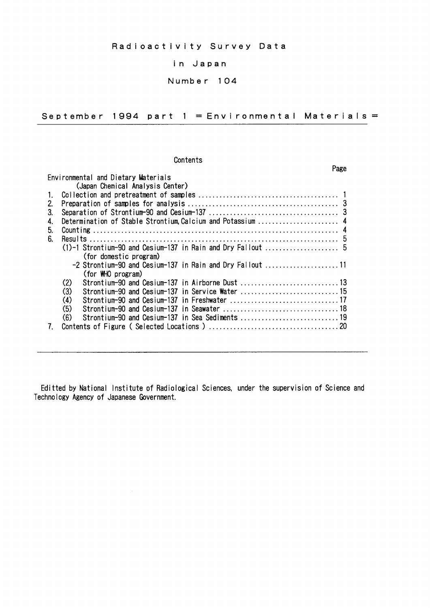## in Japan

# Number 104

September 1994 part  $1 =$  Environmental Materials =

Page

#### Contents

|    | Environmental and Dietary Materials                         |
|----|-------------------------------------------------------------|
|    | (Japan Chemical Analysis Center)                            |
|    |                                                             |
| 2. |                                                             |
| 3. |                                                             |
| 4. | Determination of Stable Strontium, Calcium and Potassium  4 |
| 5. |                                                             |
| 6. |                                                             |
|    |                                                             |
|    | (for domestic program)                                      |
|    | -2 Strontium-90 and Cesium-137 in Rain and Dry Fallout 11   |
|    | (for WHO program)                                           |
|    | (2)<br>Strontium-90 and Cesium-137 in Airborne Dust 13      |
|    | (3)                                                         |
|    | Strontium-90 and Cesium-137 in Freshwater 17<br>(4)         |
|    | (5)                                                         |
|    | (6)                                                         |
|    |                                                             |

Editted by National Institute of Radiological Sciences, under the supervision of Science and Technology Agency of Japanese Government.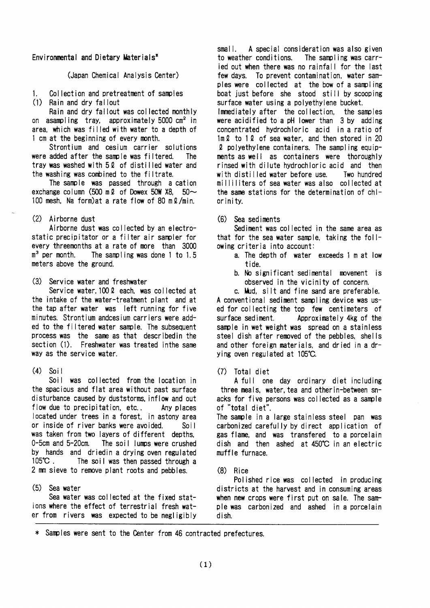#### Environmental and Dietary Materials<sup>\*</sup>

### (Japan Chemical Analysis Center)

Collection and pretreatment of samples  $\mathbf{1}$ 

(1) Rain and dry fallout

Rain and dry fallout was collected monthly on asampling tray, approximately 5000 cm<sup>2</sup> in area, which was filled with water to a depth of 1 cm at the beginning of every month.

Strontium and cesium carrier solutions were added after the sample was filtered. **The** tray was washed with 52 of distilled water and the washing was combined to the filtrate.

The sample was passed through a cation exchange column (500 m  $\ell$  of Dowex 50W X8, 50 $\sim$ 100 mesh, Na form) at a rate flow of 80 m 2/min.

## (2) Airborne dust

Airborne dust was collected by an electrostatic precipitator or a filter air sampler for every threemonths at a rate of more than 3000  $\mathfrak{m}^3$  per month. The sampling was done 1 to 1.5 meters above the ground.

(3) Service water and freshwater

Service water, 100 2 each, was collected at the intake of the water-treatment plant and at the tap after water was left running for five minutes. Strontium andcesium carriers were added to the filtered water sample. The subsequent process was the same as that describedin the section (1). Freshwater was treated in the same way as the service water.

#### $(4)$ -Soil

Soil was collected from the location in the spacious and flat area without past surface disturbance caused by duststorms, inflow and out flow due to precipitation, etc.. Any places located under trees in a forest, in astony area or inside of river banks were avoided.  $S$ oil was taken from two layers of different depths. 0-5cm and 5-20cm. The soil lumps were crushed by hands and driedin a drying oven regulated  $105^{\circ}$ C. The soil was then passed through a 2 mm sieve to remove plant roots and pebbles.

#### $(5)$ Sea water

Sea water was collected at the fixed stations where the effect of terrestrial fresh water from rivers was expected to be negligibly

 $small.$ A special consideration was also given to weather conditions. The sampling was carried out when there was no rainfall for the last To prevent contamination, water samfew days. ples were collected at the bow of a sampling boat just before she stood still by scooping surface water using a polyethylene bucket. Immediately after the collection. the samples were acidified to a pH lower than 3 by adding concentrated hydrochloric acid in a ratio of 1ml to 1l of sea water, and then stored in 20 2 polyethylene containers. The sampling equipments as well as containers were thoroughly rinsed with dilute hydrochloric acid and then with distilled water before use. Two hundred milliliters of sea water was also collected at the same stations for the determination of chlorinity.

### (6) Sea sediments

Sediment was collected in the same area as that for the sea water sample, taking the following criteria into account:

- a. The depth of water exceeds 1 m at low tide.
- b. No significant sedimental movement is observed in the vicinity of concern.

c. Mud. silt and fine sand are preferable. A conventional sediment sampling device was used for collecting the top few centimeters of surface sediment. Approximately 4kg of the sample in wet weight was spread on a stainless steel dish after removed of the pebbles, shells and other foreign materials, and dried in a drying oven regulated at 105°C.

 $(7)$ Total diet

A full one day ordinary diet including three meals, water, tea and other in-between snacks for five persons was collected as a sample of "total diet".

The sample in a large stainless steel pan was carbonized carefully by direct application of gas flame, and was transfered to a porcelain dish and then ashed at 450°C in an electric muffle furnace.

## $(8)$  Rice

Polished rice was collected in producing districts at the harvest and in consuming areas when new crops were first put on sale. The sample was carbonized and ashed in a porcelain dish.

\* Samples were sent to the Center from 46 contracted prefectures.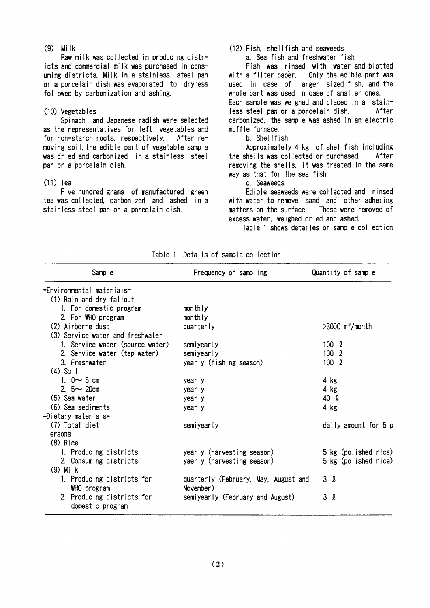$(9)$  Milk

Raw milk was collected in producing districts and commercial milk was purchased in consuming districts. Milk in a stainless steel pan or a porcelain dish was evaporated to dryness followed by carbonization and ashing.

#### (10) Vegetables

Spinach and Japanese radish were selected as the representatives for left vegetables and for non-starch roots, respectively, After removing soil, the edible part of vegetable sample was dried and carbonized in a stainless steel pan or a porcelain dish.

#### $(11)$  Tea

Five hundred grams of manufactured green tea was collected, carbonized and ashed in a stainless steel pan or a porcelain dish.

# (12) Fish. shellfish and seaweeds

a. Sea fish and freshwater fish

Fish was rinsed with water and blotted Only the edible part was with a filter paper. used in case of larger sized fish, and the whole part was used in case of smaller ones. Each sample was weighed and placed in a stainless steel pan or a porcelain dish. After carbonized, the sample was ashed in an electric muffle furnace.

#### b. Shellfish

Approximately 4 kg of shellfish including the shells was collected or purchased. After removing the shells, it was treated in the same way as that for the sea fish.

c. Seaweeds

Edible seaweeds were collected and rinsed with water to remove sand and other adhering matters on the surface. These were removed of excess water, weighed dried and ashed.

Table 1 shows detailes of sample collection.

| Sample                                         | Frequency of sampling                | Quantity of sample            |
|------------------------------------------------|--------------------------------------|-------------------------------|
| =Environmental materials=                      |                                      |                               |
| (1) Rain and dry fallout                       |                                      |                               |
| 1. For domestic program                        | monthly                              |                               |
| 2. For WHO program                             | monthly                              |                               |
| (2) Airborne dust                              | quarterly                            | $>3000$ m <sup>3</sup> /month |
| (3) Service water and freshwater               |                                      |                               |
| 1. Service water (source water)                | semiyearly                           | $100 \Omega$                  |
| 2. Service water (tap water)                   | semiyearly                           | 100 R                         |
| 3. Freshwater                                  | yearly (fishing season)              | $100 \Omega$                  |
| $(4)$ Soil                                     |                                      |                               |
| 1. $0 \sim 5$ cm                               | yearly                               | $4$ kg                        |
| 2. $5 - 20$ cm                                 | yearly                               | $4$ kg                        |
| (5) Sea water                                  | yearly                               | 40 Q                          |
| (6) Sea sediments                              | yearly                               | $4$ kg                        |
| =Dietary materials=                            |                                      |                               |
| (7) Total diet                                 | semiyearly                           | daily amount for 5 p          |
| ersons                                         |                                      |                               |
| $(8)$ Rice                                     |                                      |                               |
| 1. Producing districts                         | yearly (harvesting season)           | 5 kg (polished rice)          |
| 2. Consuming districts                         | yaerly (harvesting season)           | 5 kg (polished rice)          |
| $(9)$ Milk                                     |                                      |                               |
| 1. Producing districts for                     | quarterly (February, May, August and | 3 l                           |
| WHO program                                    | November)                            |                               |
| 2. Producing districts for<br>domestic program | semiyearly (February and August)     | 3Q                            |

Table 1 Details of sample collection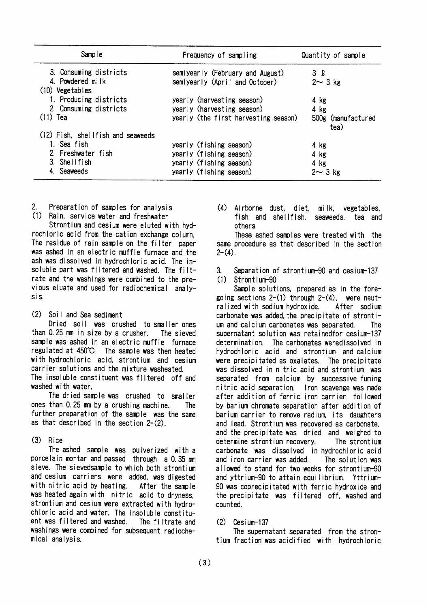| Sample                                | Frequency of sampling                | Quantity of sample         |
|---------------------------------------|--------------------------------------|----------------------------|
| 3. Consuming districts                | semiyearly (February and August)     | 3 l                        |
| 4. Powdered milk<br>$(10)$ Vegetables | semiyearly (April and October)       | $2 \sim 3$ kg              |
| 1. Producing districts                | yearly (harvesting season)           | $4$ kg                     |
| 2. Consuming districts                | yearly (harvesting season)           | $4$ $kg$                   |
| $(11)$ Tea                            | yearly (the first harvesting season) | 500g (manufactured<br>tea) |
| (12) Fish, shellfish and seaweeds     |                                      |                            |
| 1. Sea fish                           | yearly (fishing season)              | 4 kg                       |
| 2. Freshwater fish                    | yearly (fishing season)              | 4 kg                       |
| 3. Shellfish                          | yearly (fishing season)              | 4 kg                       |
| 4. Seaweeds                           | yearly (fishing season)              | $2 \sim 3$ kg              |

- $\overline{2}$ . Preparation of samples for analysis
- (1) Rain, service water and freshwater

Strontium and cesium were eluted with hydrochloric acid from the cation exchange column. The residue of rain sample on the filter paper was ashed in an electric muffle furnace and the ash was dissolved in hydrochloric acid. The insoluble part was filtered and washed. The filtrate and the washings were combined to the previous eluate and used for radiochemical analysis.

#### $(2)$ Soil and Sea sediment

Dried soil was crushed to smaller ones than 0.25 mm in size by a crusher. The sieved sample was ashed in an electric muffle furnace regulated at 450°C. The sample was then heated with hydrochloric acid, strontium and cesium carrier solutions and the mixture washeated. The insoluble constituent was filtered off and washed with water.

The dried sample was crushed to smaller ones than 0.25 mm by a crushing machine. The further preparation of the sample was the same as that described in the section 2-(2).

# $(3)$  Rice

The ashed sample was pulverized with a porcelain mortar and passed through a 0.35 mm sieve. The sievedsample to which both strontium and cesium carriers were added, was digested with nitric acid by heating. After the sample was heated again with nitric acid to dryness. strontium and cesium were extracted with hydrochloric acid and water. The insoluble constituent was filtered and washed. The filtrate and washings were combined for subsequent radiochemical analysis.

 $(4)$ Airborne dust, diet, milk, vegetables. fish and shellfish. seaweeds. tea and others

These ashed samples were treated with the same procedure as that described in the section  $2-(4)$ .

 $\mathbf{R}$ Separation of strontium-90 and cesium-137  $(1)$ Strontium-90

Sample solutions, prepared as in the foregoing sections  $2-(1)$  through  $2-(4)$ , were neutralized with sodium hydroxide. After sodium carbonate was added, the precipitate of strontium and calcium carbonates was separated. The supernatant solution was retained for cesium-137 determination. The carbonates weredissolved in hydrochloric acid and strontium and calcium were precipitated as oxalates. The precipitate was dissolved in nitric acid and strontium was separated from calcium by successive fuming nitric acid separation. fron scavenge was made after addition of ferric iron carrier followed by barium chromate separation after addition of barium carrier to remove radium, its daughters and lead. Strontium was recovered as carbonate. and the precipitate was dried and weighed to determine strontium recovery. The strontium carbonate was dissolved in hydrochloric acid and iron carrier was added. The solution was allowed to stand for two weeks for strontium-90 and yttrium-90 to attain equilibrium. Yttrium-90 was coprecipitated with ferric hydroxide and the precipitate was filtered off, washed and counted.

#### Cesium-137  $(2)$

The supernatant separated from the strontium fraction was acidified with hydrochloric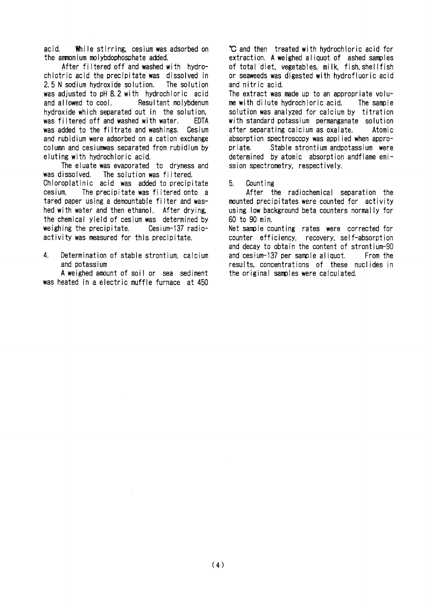acid While stirring, cesium was adsorbed on the ammonium molybdophosphate added.

After filtered off and washed with hydrochlotric acid the precipitate was dissolved in 2.5 N sodium hydroxide solution. The solution was adjusted to pH 8.2 with hydrochloric acid and allowed to cool. Resultant molybdenum hydroxide which separated out in the solution. was filtered off and washed with water. **FDTA** was added to the filtrate and washings. Cesium and rubidium were adsorbed on a cation exchange column and cesiumwas separated from rubidium by eluting with hydrochloric acid

The eluate was evaporated to dryness and was dissolved. The solution was filtered. Chloroplatinic acid was added to precipitate cesium. The precipitate was filtered onto a tared paper using a demountable filter and washed with water and then ethanol. After drying. the chemical vield of cesium was determined by weighing the precipitate. Cesium-137 radioactivity was measured for this precipitate.

 $\overline{4}$ . Determination of stable strontium, calcium and potassium

A weighed amount of soil or sea sediment was heated in a electric muffle furnace at 450

C and then treated with hydrochloric acid for extraction. A weighed aliquot of ashed samples of total diet, vegetables, milk, fish, shellfish or seaweeds was digested with hydrofluoric acid and nitric acid

The extract was made up to an appropriate volume with dilute hydrochloric acid. The sample solution was analyzed for calcium by titration with standard potassium permanganate solution after separating calcium as oxalate. Atomic absorption spectroscopy was applied when appro-Stable strontium andpotassium were priate. determined by atomic absorption and flame emission spectrometry, respectively.

 $5^{\circ}$ Counting

After the radiochemical separation the mounted precipitates were counted for activity using low background beta counters normally for 60 to 90 min.

Net sample counting rates were corrected for counter efficiency, recovery, self-absorption and decay to obtain the content of strontium-90 and cesium-137 per sample aliquot. From the results, concentrations of these nuclides in the original samples were calculated.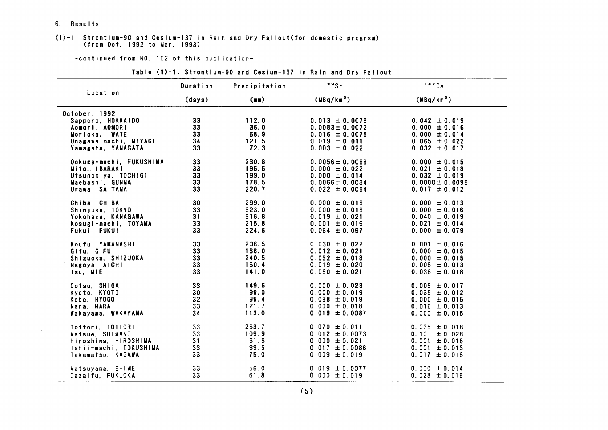#### 6. Results

 $\sim 10^7$ 

# (1)-1 Strontium-90 and Cesium-137 in Rain and Dry Fallout(for domestic program)<br>(from Oct. 1992 to Mar. 1993)

#### -continued from NO. 102 of this publication-

#### Table (1)-1: Strontium-90 and Cesium-137 in Rain and Dry Fallout

| Location                                                                                                   | Duration                          | Precipitation                          | $"$ s                                                                                                   | 137Cs                                                                                               |
|------------------------------------------------------------------------------------------------------------|-----------------------------------|----------------------------------------|---------------------------------------------------------------------------------------------------------|-----------------------------------------------------------------------------------------------------|
|                                                                                                            | (days)                            | (mn)                                   | (MBq/km <sup>2</sup> )                                                                                  | (MBq/km <sup>2</sup> )                                                                              |
| October, 1992<br>Sapporo, HOKKAIDO<br>Aomori, AOMORI<br>Morioka. IWATE<br>Onagawa-machi, MIYAGI            | 33<br>33<br>33 <sup>3</sup><br>34 | 112.0<br>36.0<br>68.9<br>121.5         | $0.013 \pm 0.0078$<br>$0.0083 \pm 0.0072$<br>$0.016 \pm 0.0075$<br>$0.019 \pm 0.011$                    | $0.042 \pm 0.019$<br>$0.000 \pm 0.016$<br>$0.000 \pm 0.014$<br>$0.065 \pm 0.022$                    |
| Yamagata, YAMAGATA                                                                                         | 33                                | 72.3                                   | $0.003 \pm 0.022$                                                                                       | $0.032 \pm 0.017$                                                                                   |
| Ookuma-machi, FUKUSHIMA                                                                                    | 33                                | 230.8                                  | $0.0056 \pm 0.0068$                                                                                     | $0.000 \pm 0.015$                                                                                   |
| Mito, IBARAKI                                                                                              | 33                                | 195.5                                  | $0.000 \pm 0.022$                                                                                       | $0.021 \pm 0.018$                                                                                   |
| Utsunomiya, TOCHIGI                                                                                        | 33 <sup>3</sup>                   | 199.0                                  | $0.000 \pm 0.014$                                                                                       | $0.032 \pm 0.019$                                                                                   |
| Maebashi, GUNMA                                                                                            | 33                                | 178.5                                  | $0.0066 \pm 0.0084$                                                                                     | $0.0000 \pm 0.0098$                                                                                 |
| Urawa, SAITAMA                                                                                             | 33                                | 220.7                                  | $0.022 \pm 0.0064$                                                                                      | $0.017 \pm 0.012$                                                                                   |
| Chiba, CHIBA                                                                                               | 30                                | 299.0                                  | $0.000 \pm 0.016$                                                                                       | $0.000 \pm 0.013$                                                                                   |
| Shinjuku, TOKYO                                                                                            | 33                                | 323.0                                  | $0.000 \pm 0.016$                                                                                       | $0.000 \pm 0.016$                                                                                   |
| Yokohama, KANAGAWA                                                                                         | 31                                | 316.8                                  | $0.019 \pm 0.021$                                                                                       | $0.040 \pm 0.019$                                                                                   |
| Kosugi-machi, TOYAMA                                                                                       | 33                                | 215.8                                  | $0.001 \pm 0.016$                                                                                       | $0.021 \pm 0.014$                                                                                   |
| Fukui, FUKUI                                                                                               | 33                                | 224.6                                  | $0.064 \pm 0.097$                                                                                       | $0.000 \pm 0.079$                                                                                   |
| Koufu, YAMANASHI                                                                                           | 33                                | 208.5                                  | $0.030 \pm 0.022$                                                                                       | $0.001 \pm 0.016$                                                                                   |
| Gifu, GIFU                                                                                                 | 33                                | 188.0                                  | $0.012 \pm 0.021$                                                                                       | $0.000 \pm 0.015$                                                                                   |
| Shizuoka, SHIZUOKA                                                                                         | 33                                | 240.5                                  | $0.032 \pm 0.018$                                                                                       | $0.000 \pm 0.015$                                                                                   |
| Nagoya, AICHI                                                                                              | 33                                | 160.4                                  | $0.019 \pm 0.020$                                                                                       | $0.008 \pm 0.013$                                                                                   |
| Tsu, MIE                                                                                                   | 33                                | 141.0                                  | $0.050 \pm 0.021$                                                                                       | $0.036 \pm 0.018$                                                                                   |
| Ootsu, SHIGA                                                                                               | 33                                | 149.6                                  | $0.000 \pm 0.023$                                                                                       | $0.009 \pm 0.017$                                                                                   |
| Kyoto, KYOTO                                                                                               | 30                                | 99.0                                   | $0.000 \pm 0.019$                                                                                       | $0.035 \pm 0.012$                                                                                   |
| Kobe, HYOGO                                                                                                | 32                                | 99.4                                   | $0.038 \pm 0.019$                                                                                       | $0.000 \pm 0.015$                                                                                   |
| Nara, NARA                                                                                                 | 33                                | 121.7                                  | $0.000 \pm 0.018$                                                                                       | $0.016 \pm 0.013$                                                                                   |
| Wakayama, WAKAYAMA                                                                                         | 34                                | 113.0                                  | $0.019 \pm 0.0087$                                                                                      | $0.000 \pm 0.015$                                                                                   |
| Tottori, TOTTORI<br>Matsue, SHIMANE<br>Hiroshima, HIROSHIMA<br>Ishii-machi, TOKUSHIMA<br>Takamatsu, KAGAWA | 33<br>33<br>31<br>33<br>33        | 263.7<br>109.9<br>61.6<br>99.5<br>75.0 | $0.070 \pm 0.011$<br>$0.012 \pm 0.0073$<br>$0.000 \pm 0.021$<br>$0.017 \pm 0.0086$<br>$0.009 \pm 0.019$ | $0.035 \pm 0.018$<br>0.10<br>± 0.028<br>$0.001 \pm 0.016$<br>$0.001 \pm 0.013$<br>$0.017 \pm 0.016$ |
| Matsuyama, EHIME                                                                                           | 33                                | 56.0                                   | $0.019 \pm 0.0077$                                                                                      | $0.000 \pm 0.014$                                                                                   |
| Dazaifu. FUKUOKA                                                                                           | 33                                | 61.8                                   | $0.000 \pm 0.019$                                                                                       | $0.028 \pm 0.016$                                                                                   |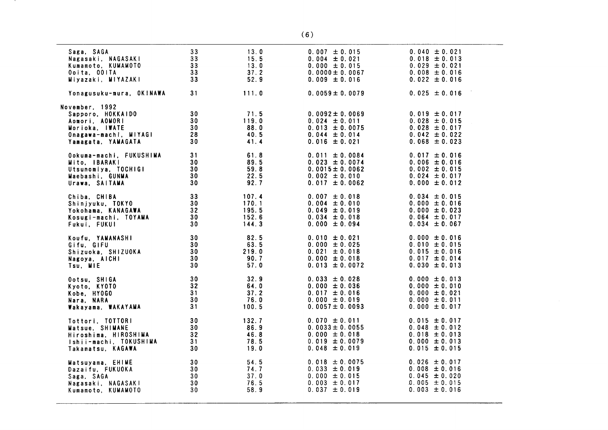| Saga, SAGA               | 33              | 13.0  | $0.007 \pm 0.015$   | $0.040 \pm 0.021$ |
|--------------------------|-----------------|-------|---------------------|-------------------|
| Nagasaki, NAGASAKI       | 33              | 15.5  | $0.004 \pm 0.021$   | $0.018 \pm 0.013$ |
| Kumamoto, KUMAMOTO       | 33              | 13.0  | $0.000 \pm 0.015$   | $0.029 \pm 0.021$ |
| Ooita, OOITA             | 33              | 37.2  | $0.0000 \pm 0.0067$ | $0.008 \pm 0.016$ |
| Miyazaki, MIYAZAKI       | 33              | 52.9  | $0.009 \pm 0.016$   | $0.022 \pm 0.016$ |
| Yonagusuku-mura, OK!NAWA | 31              | 111.0 | $0.0059 \pm 0.0079$ | $0.025 \pm 0.016$ |
| November, 1992           |                 |       |                     |                   |
| Sapporo, HOKKAIDO        | 30              | 71.5  | $0.0092 \pm 0.0069$ | $0.019 \pm 0.017$ |
| Aomori, AOMORI           | 30              | 119.0 | $0.024 \pm 0.011$   | $0.028 \pm 0.015$ |
| Morioka, IWATE           | 30              | 88.0  | $0.013 \pm 0.0075$  | $0.028 \pm 0.017$ |
| Onagawa-machi, MIYAGI    | 28              | 40.5  | $0.044 \pm 0.014$   | $0.042 \pm 0.022$ |
| Yamagata, YAMAGATA       | 30              | 41.4  | $0.016 \pm 0.021$   | $0.068 \pm 0.023$ |
| Ookuma-machi, FUKUSHIMA  | 31              | 61.8  | $0.011 \pm 0.0084$  | $0.017 \pm 0.016$ |
| Mito, IBARAKI            | 30              | 89.5  | $0.023 \pm 0.0074$  | $0.006 \pm 0.016$ |
| Utsunomiya, TOCHIGI      | 30              | 59.8  | $0.0015 \pm 0.0062$ | $0.002 \pm 0.015$ |
| Maebashi, GUNMA          | 30              | 22.5  | $0.002 \pm 0.010$   | $0.024 \pm 0.017$ |
| Urawa, SAITAMA           | 30              | 92.7  | $0.017 \pm 0.0062$  | $0.000 \pm 0.012$ |
| Chiba, CHIBA             | 33              | 107.4 | $0.007 \pm 0.018$   | $0.034 \pm 0.015$ |
| Shinjyuku, TOKYO         | 30 <sub>o</sub> | 170.1 | $0.004 \pm 0.010$   | $0.000 \pm 0.016$ |
| Yokohama, KANAGAWA       | 32              | 195.5 | $0.049 \pm 0.019$   | $0.000 \pm 0.023$ |
| Kosugi-machi, TOYAMA     | 30              | 152.6 | $0.034 \pm 0.018$   | $0.064 \pm 0.017$ |
| Fukui, FUKUI             | 30              | 144.3 | $0.000 \pm 0.094$   | $0.034 \pm 0.067$ |
| Koufu, YAMANASHI         | 30              | 82.5  | $0.010 \pm 0.021$   | $0.000 \pm 0.016$ |
| Gifu, GIFU               | 30              | 63.5  | $0.000 \pm 0.025$   | $0.010 \pm 0.015$ |
| Shizuoka, SHIZUOKA       | 30              | 219.0 | $0.021 \pm 0.018$   | $0.015 \pm 0.016$ |
| Nagoya, AICHI            | - 30            | 90.7  | $0.000 \pm 0.018$   | $0.017 \pm 0.014$ |
| Tsu, MIE                 | 30              | 57.0  | $0.013 \pm 0.0072$  | $0.030 \pm 0.013$ |
| Ootsu, SHIGA             | 30              | 32.9  | $0.033 \pm 0.028$   | $0.000 \pm 0.013$ |
| Kyoto, KYOTO             | 32              | 64.0  | $0.000 \pm 0.036$   | $0.000 \pm 0.010$ |
| Kobe, HYOGO              | 31              | 37.2  | $0.017 \pm 0.016$   | $0.000 \pm 0.021$ |
| Nara, NARA               | 30              | 76.0  | $0.000 \pm 0.019$   | $0.000 \pm 0.011$ |
| Wakayama, WAKAYAMA       | 31              | 100.5 | $0.0057 \pm 0.0093$ | $0.000 \pm 0.017$ |
| Tottori, TOTTORI         | 30              | 132.7 | $0.070 \pm 0.011$   | $0.015 \pm 0.017$ |
| Matsue, SHIMANE          | 30              | 86.9  | $0.0033 \pm 0.0055$ | $0.048 \pm 0.012$ |
| Hiroshima, HIROSHIMA     | 32              | 46.8  | $0.000 \pm 0.018$   | $0.018 \pm 0.013$ |
| Ishii-machi, TOKUSHIMA   | 31              | 78.5  | $0.019 \pm 0.0079$  | $0.000 \pm 0.013$ |
| Takamatsu, KAGAWA        | 30              | 19.0  | $0.048 \pm 0.019$   | $0.015 \pm 0.015$ |
| Matsuyama, EHIME         | 30              | 54.5  | $0.018 \pm 0.0075$  | $0.026 \pm 0.017$ |
| Dazaifu, FUKUOKA         | 30              | 74.7  | $0.033 \pm 0.019$   | $0.008 \pm 0.016$ |
| Saga, SAGA               | 30              | 37.0  | $0.000 \pm 0.015$   | $0.045 \pm 0.020$ |
| Nagasaki, NAGASAKI       | 30              | 76.5  | $0.003 \pm 0.017$   | 0.005 $\pm$ 0.015 |
| Kumamoto, KUMAMOTO       | 30              | 58.9  | $0.037 \pm 0.019$   | $0.003 \pm 0.016$ |
|                          |                 |       |                     |                   |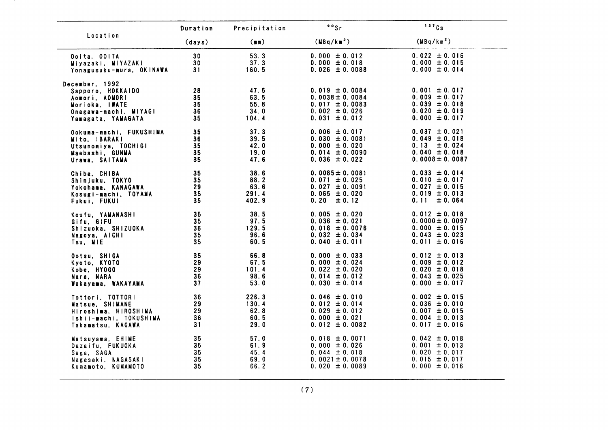|                                                                                                                        | Duration                   | Precipitation                          | $°°$ Sr                                                                                                   | 137Cs                                                                                                 |
|------------------------------------------------------------------------------------------------------------------------|----------------------------|----------------------------------------|-----------------------------------------------------------------------------------------------------------|-------------------------------------------------------------------------------------------------------|
| Location                                                                                                               | (days)                     | (mn)                                   | (MBq/km <sup>2</sup> )                                                                                    | (MBq/km <sup>2</sup> )                                                                                |
| Ooita, OOITA                                                                                                           | 30                         | 53.3                                   | $0.000 \pm 0.012$                                                                                         | $0.022 \pm 0.016$                                                                                     |
| Miyazaki, MIYAZAKI                                                                                                     | 30 <sub>o</sub>            | 37.3                                   | $0.000 \pm 0.018$                                                                                         | $0.000 \pm 0.015$                                                                                     |
| Yonagusuku-mura, OKINAWA                                                                                               | 31                         | 160.5                                  | $0.026 \pm 0.0088$                                                                                        | $0.000 \pm 0.014$                                                                                     |
| December, 1992<br>Sapporo, HOKKAIDO<br>Aomori, AOMORI<br>Morioka, IWATE<br>Onagawa-machi, MIYAGI<br>Yamagata, YAMAGATA | 28<br>35<br>35<br>36<br>35 | 47.5<br>63.5<br>55.8<br>34.0<br>104.4  | $0.019 \pm 0.0084$<br>$0.0038 \pm 0.0084$<br>$0.017 \pm 0.0083$<br>$0.002 \pm 0.026$<br>$0.031 \pm 0.012$ | $0.001 \pm 0.017$<br>$0.009 \pm 0.017$<br>$0.039 \pm 0.018$<br>$0.020 \pm 0.019$<br>$0.000 \pm 0.017$ |
| Ookuma-machi, FUKUSHIMA                                                                                                | 35                         | 37.3                                   | $0.006 \pm 0.017$                                                                                         | $0.037 \pm 0.021$                                                                                     |
| Mito. IBARAKI                                                                                                          | 36                         | 39.5                                   | $0.030 \pm 0.0081$                                                                                        | $0.049 \pm 0.018$                                                                                     |
| Utsunomiya, TOCHIGI                                                                                                    | 35                         | 42.0                                   | $0.000 \pm 0.020$                                                                                         | $0.13 \pm 0.024$                                                                                      |
| Maebashi, GUNMA                                                                                                        | 35                         | 19.0                                   | $0.014 \pm 0.0090$                                                                                        | $0.040 \pm 0.018$                                                                                     |
| Urawa, SAITAMA                                                                                                         | 35                         | 47.6                                   | $0.036 \pm 0.022$                                                                                         | $0.0008 \pm 0.0087$                                                                                   |
| Chiba. CHIBA<br>Shinjuku, TOKYO<br>Yokohama, KANAGAWA<br>Kosugi-machi, TOYAMA<br>Fukui, FUKUI                          | 35<br>35<br>29<br>35<br>35 | 38.6<br>88.2<br>63.6<br>291.4<br>402.9 | $0.0085 \pm 0.0081$<br>$0.071 \pm 0.025$<br>$0.027 \pm 0.0091$<br>$0.065 \pm 0.020$<br>0.20<br>± 0.12     | $0.033 \pm 0.014$<br>$0.010 \pm 0.017$<br>$0.027 \pm 0.015$<br>$0.019 \pm 0.013$<br>0.11<br>± 0.064   |
| Koufu, YAMANASHI                                                                                                       | 35                         | 38.5                                   | $0.005 \pm 0.020$                                                                                         | $0.012 \pm 0.018$                                                                                     |
| Gifu, GIFU                                                                                                             | 35                         | 97.5                                   | $0.036 \pm 0.021$                                                                                         | $0.0000 \pm 0.0097$                                                                                   |
| Shizuoka, SHIZUOKA                                                                                                     | 36                         | 129.5                                  | $0.018 \pm 0.0076$                                                                                        | $0.000 \pm 0.015$                                                                                     |
| Nagoya, AICHI                                                                                                          | 35                         | 96.6                                   | $0.032 \pm 0.034$                                                                                         | $0.043 \pm 0.023$                                                                                     |
| Tsu, MIE                                                                                                               | 35                         | 60.5                                   | $0.040 \pm 0.011$                                                                                         | $0.011 \pm 0.016$                                                                                     |
| Ootsu. SHIGA                                                                                                           | 35                         | 66.8                                   | $0.000 \pm 0.033$                                                                                         | $0.012 \pm 0.013$                                                                                     |
| Kyoto, KYOTO                                                                                                           | 29                         | 67.5                                   | $0.000 \pm 0.024$                                                                                         | $0.009 \pm 0.012$                                                                                     |
| Kobe, HYOGO                                                                                                            | 29                         | 101.4                                  | $0.022 \pm 0.020$                                                                                         | $0.020 \pm 0.018$                                                                                     |
| Nara, NARA                                                                                                             | 36                         | 98.6                                   | $0.014 \pm 0.012$                                                                                         | $0.043 \pm 0.025$                                                                                     |
| Wakayama, WAKAYAMA                                                                                                     | 37                         | 53.0                                   | $0.030 \pm 0.014$                                                                                         | $0.000 \pm 0.017$                                                                                     |
| Tottori, TOTTORI                                                                                                       | 36                         | 226.3                                  | $0.046 \pm 0.010$                                                                                         | $0.002 \pm 0.015$                                                                                     |
| Matsue, SHIMANE                                                                                                        | 29                         | 130.4                                  | $0.012 \pm 0.014$                                                                                         | $0.036 \pm 0.010$                                                                                     |
| Hiroshima, HIROSHIMA                                                                                                   | 29                         | 62.8                                   | $0.029 \pm 0.012$                                                                                         | $0.007 \pm 0.015$                                                                                     |
| Ishii-machi, TOKUSHIMA                                                                                                 | 36                         | 60.5                                   | $0.000 \pm 0.021$                                                                                         | $0.004 \pm 0.013$                                                                                     |
| Takamatsu, KAGAWA                                                                                                      | 31                         | 29.0                                   | $0.012 \pm 0.0082$                                                                                        | $0.017 \pm 0.016$                                                                                     |
| Matsuyama, EHIME                                                                                                       | 35                         | 57.0                                   | $0.018 \pm 0.0071$                                                                                        | $0.042 \pm 0.018$                                                                                     |
| Dazaifu, FUKUOKA                                                                                                       | 35                         | 61.9                                   | $0.000 \pm 0.026$                                                                                         | $0.001 \pm 0.013$                                                                                     |
| Saga, SAGA                                                                                                             | 35                         | 45.4                                   | $0.044 \pm 0.018$                                                                                         | $0.020 \pm 0.017$                                                                                     |
| Nagasaki, NAGASAKI                                                                                                     | 35                         | 69.0                                   | $0.0021 \pm 0.0078$                                                                                       | $0.015 \pm 0.017$                                                                                     |
| Kumamoto, KUMAMOTO                                                                                                     | 35                         | 66.2                                   | $0.020 \pm 0.0089$                                                                                        | $0.000 \pm 0.016$                                                                                     |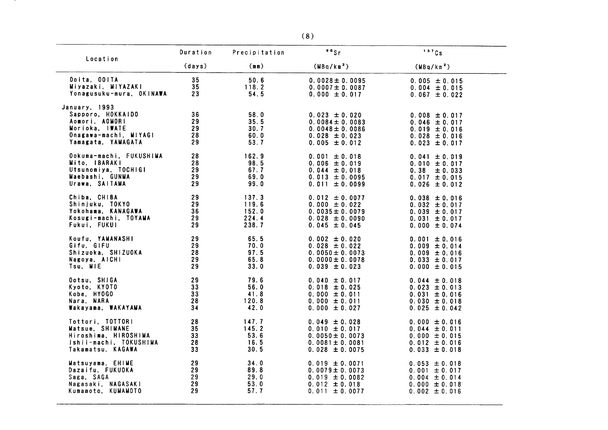|                                                                                                                       | Duration                   | Precipitation                        | $50$ Sr                                                                                                   | 137Cs                                                                                                 |
|-----------------------------------------------------------------------------------------------------------------------|----------------------------|--------------------------------------|-----------------------------------------------------------------------------------------------------------|-------------------------------------------------------------------------------------------------------|
| Location                                                                                                              | (days)                     | (mn)                                 | (MBq/km <sup>2</sup> )                                                                                    | (MBq/km <sup>2</sup> )                                                                                |
| Ooita, OOITA                                                                                                          | 35                         | 50.6                                 | $0.0028 \pm 0.0095$                                                                                       | $0.005 \pm 0.015$                                                                                     |
| Miyazaki, MIYAZAKI                                                                                                    | 35                         | 118.2                                | $0.0007 \pm 0.0087$                                                                                       | $0.004 \pm 0.015$                                                                                     |
| Yonagusuku-mura, OKINAWA                                                                                              | 23                         | 54.5                                 | $0.000 \pm 0.017$                                                                                         | $0.067 \pm 0.022$                                                                                     |
| January, 1993<br>Sapporo, HOKKAIDO<br>Aomori, AOMORI<br>Morioka, IWATE<br>Onagawa-machi, MIYAGI<br>Yamagata, YAMAGATA | 36<br>29<br>29<br>28<br>29 | 58.0<br>35.5<br>30.7<br>60.0<br>53.7 | $0.023 \pm 0.020$<br>$0.0084 \pm 0.0083$<br>$0.0048 \pm 0.0086$<br>$0.028 \pm 0.023$<br>$0.005 \pm 0.012$ | $0.008 \pm 0.017$<br>$0.046 \pm 0.017$<br>$0.019 \pm 0.016$<br>$0.028 \pm 0.016$<br>$0.023 \pm 0.017$ |
| Ookuma-machi, FUKUSHIMA                                                                                               | 28                         | 162.9                                | $0.001 \pm 0.018$                                                                                         | $0.041 \pm 0.019$                                                                                     |
| Mito. IBARAKI                                                                                                         | 28                         | 98.5                                 | $0.006 \pm 0.019$                                                                                         | $0.010 \pm 0.017$                                                                                     |
| Utsunomiya, TOCHIGI                                                                                                   | 29                         | 67.7                                 | $0.044 \pm 0.018$                                                                                         | $0.38 \pm 0.033$                                                                                      |
| Maebashi, GUNMA                                                                                                       | 29                         | 69.0                                 | $0.013 \pm 0.0095$                                                                                        | $0.017 \pm 0.015$                                                                                     |
| Urawa, SAITAMA                                                                                                        | 29                         | 99.0                                 | $0.011 \pm 0.0099$                                                                                        | $0.026 \pm 0.012$                                                                                     |
| Chiba. CHIBA                                                                                                          | 29                         | 137.3                                | $0.012 \pm 0.0077$                                                                                        | $0.038 \pm 0.016$                                                                                     |
| Shinjuku, TOKYO                                                                                                       | 29                         | 119.6                                | $0.000 \pm 0.022$                                                                                         | $0.032 \pm 0.017$                                                                                     |
| Yokohama, KANAGAWA                                                                                                    | 36                         | 152.0                                | $0.0035 \pm 0.0079$                                                                                       | $0.039 \pm 0.017$                                                                                     |
| Kosugi-machi, TOYAMA                                                                                                  | 29                         | 224.4                                | $0.028 \pm 0.0090$                                                                                        | $0.031 \pm 0.017$                                                                                     |
| Fukui, FUKUI                                                                                                          | 29                         | 238.7                                | $0.045 \pm 0.045$                                                                                         | $0.000 \pm 0.074$                                                                                     |
| Koufu, YAMANASHI                                                                                                      | 29                         | 65.5                                 | $0.002 \pm 0.020$                                                                                         | $0.001 \pm 0.016$                                                                                     |
| Gifu, GIFU                                                                                                            | 29                         | 70.0                                 | $0.028 \pm 0.022$                                                                                         | $0.009 \pm 0.014$                                                                                     |
| Shizuoka, SHIZUOKA                                                                                                    | 28                         | 97.5                                 | $0.0050 \pm 0.0073$                                                                                       | $0.009 \pm 0.016$                                                                                     |
| Nagoya, AICHI                                                                                                         | 29                         | 65.8                                 | $0.0000 \pm 0.0078$                                                                                       | $0.033 \pm 0.017$                                                                                     |
| Tsu, MIE                                                                                                              | 29                         | 33.0                                 | $0.039 \pm 0.023$                                                                                         | $0.000 \pm 0.015$                                                                                     |
| Ootsu, SHIGA                                                                                                          | 29                         | 79.6                                 | $0.040 \pm 0.017$                                                                                         | $0.044 \pm 0.018$                                                                                     |
| Kyoto, KYOTO                                                                                                          | 33                         | 56.0                                 | $0.018 \pm 0.025$                                                                                         | $0.023 \pm 0.013$                                                                                     |
| Kobe, HYOGO                                                                                                           | 33                         | 41.8                                 | $0.000 \pm 0.011$                                                                                         | $0.031 \pm 0.016$                                                                                     |
| Nara, NARA                                                                                                            | 28                         | 120.8                                | $0.000 \pm 0.011$                                                                                         | $0.030 \pm 0.018$                                                                                     |
| Wakayama, WAKAYAMA                                                                                                    | 34                         | 42.0                                 | $0.000 \pm 0.027$                                                                                         | $0.025 \pm 0.042$                                                                                     |
| Tottori, TOTTORI                                                                                                      | 28                         | 147.7                                | $0.049 \pm 0.028$                                                                                         | $0.000 \pm 0.016$                                                                                     |
| Matsue, SHIMANE                                                                                                       | 35                         | 145.2                                | $0.010 \pm 0.017$                                                                                         | $0.044 \pm 0.011$                                                                                     |
| Hiroshima, HIROSHIMA                                                                                                  | 33                         | 53.6                                 | $0.0050 \pm 0.0073$                                                                                       | $0.000 \pm 0.015$                                                                                     |
| Ishii-machi, TOKUSHIMA                                                                                                | 28                         | 16.5                                 | $0.0081 \pm 0.0081$                                                                                       | $0.012 \pm 0.016$                                                                                     |
| Takamatsu, KAGAWA                                                                                                     | 33                         | 30.5                                 | $0.028 \pm 0.0075$                                                                                        | $0.033 \pm 0.018$                                                                                     |
| Matsuyama, EHIME                                                                                                      | 29                         | 34.0                                 | $0.019 \pm 0.0071$                                                                                        | $0.053 \pm 0.018$                                                                                     |
| Dazaifu, FUKUOKA                                                                                                      | 29                         | 89.8                                 | $0.0079 \pm 0.0073$                                                                                       | $0.001 \pm 0.017$                                                                                     |
| Saga, SAGA                                                                                                            | 29                         | 29.0                                 | $0.019 \pm 0.0082$                                                                                        | $0.004 \pm 0.014$                                                                                     |
| Nagasaki, NAGASAKI                                                                                                    | 29                         | 53.0                                 | $0.012 \pm 0.018$                                                                                         | $0.000 \pm 0.018$                                                                                     |
| Kumamoto, KUMAMOTO                                                                                                    | 29                         | 57.7                                 | $0.011 \pm 0.0077$                                                                                        | $0.002 \pm 0.016$                                                                                     |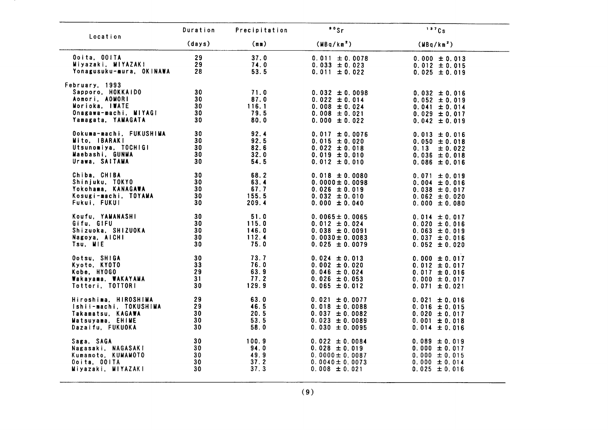| Location                                                                                                               | Duration                   | Precipitation                         | $\cdot$ $\cdot$ sr                                                                                     | 137Cs                                                                                                 |
|------------------------------------------------------------------------------------------------------------------------|----------------------------|---------------------------------------|--------------------------------------------------------------------------------------------------------|-------------------------------------------------------------------------------------------------------|
|                                                                                                                        | (days)                     | (mn)                                  | (MBq/km <sup>2</sup> )                                                                                 | (MBq/km <sup>2</sup> )                                                                                |
| Ooita, OOITA                                                                                                           | 29                         | 37.0                                  | $0.011 \pm 0.0078$                                                                                     | $0.000 \pm 0.013$                                                                                     |
| Miyazaki, MIYAZAKI                                                                                                     | 29                         | 74.0                                  | $0.033 \pm 0.023$                                                                                      | $0.012 \pm 0.015$                                                                                     |
| Yonagusuku-mura, OKINAWA                                                                                               | 28                         | 53.5                                  | $0.011 \pm 0.022$                                                                                      | $0.025 \pm 0.019$                                                                                     |
| February, 1993<br>Sapporo, HOKKAIDO<br>Aomori, AOMORI<br>Morioka, IWATE<br>Onagawa-machi, MIYAGI<br>Yamagata, YAMAGATA | 30<br>30<br>30<br>30<br>30 | 71.0<br>87.0<br>116.1<br>79.5<br>80.0 | $0.032 \pm 0.0098$<br>$0.022 \pm 0.014$<br>$0.008 \pm 0.024$<br>$0.008 \pm 0.021$<br>$0.000 \pm 0.022$ | $0.032 \pm 0.016$<br>$0.052 \pm 0.019$<br>$0.041 \pm 0.014$<br>$0.029 \pm 0.017$<br>$0.042 \pm 0.019$ |
| Ookuma-machi, FUKUSHIMA                                                                                                | 30                         | 92.4                                  | $0.017 \pm 0.0076$                                                                                     | $0.013 \pm 0.016$                                                                                     |
| Mito, IBARAKI                                                                                                          | 30                         | 92.5                                  | $0.015 \pm 0.020$                                                                                      | $0.050 \pm 0.018$                                                                                     |
| Utsunomiya, TOCHIGI                                                                                                    | 30                         | 82.6                                  | $0.022 \pm 0.018$                                                                                      | $0.13 \pm 0.022$                                                                                      |
| Maebashi, GUNMA                                                                                                        | 30                         | 32.0                                  | $0.019 \pm 0.010$                                                                                      | $0.036 \pm 0.018$                                                                                     |
| Urawa, SAITAMA                                                                                                         | 30                         | 54.5                                  | $0.012 \pm 0.010$                                                                                      | $0.086 \pm 0.016$                                                                                     |
| Chiba, CHIBA                                                                                                           | 30                         | 68.2                                  | $0.018 \pm 0.0080$                                                                                     | $0.071 \pm 0.019$                                                                                     |
| Shinjuku, TOKYO                                                                                                        | 30                         | 63.4                                  | $0.0000 \pm 0.0098$                                                                                    | $0.004 \pm 0.016$                                                                                     |
| Yokohama, KANAGAWA                                                                                                     | 30 <sub>o</sub>            | 67.7                                  | $0.026 \pm 0.019$                                                                                      | $0.038 \pm 0.017$                                                                                     |
| Kosugi-machi, TOYAMA                                                                                                   | 30                         | 155.5                                 | $0.032 \pm 0.010$                                                                                      | $0.062 \pm 0.020$                                                                                     |
| Fukui, FUKUI                                                                                                           | 30                         | 209.4                                 | $0.000 \pm 0.040$                                                                                      | $0.000 \pm 0.080$                                                                                     |
| Koufu, YAMANASHI                                                                                                       | 30                         | 51.0                                  | $0.0065 \pm 0.0065$                                                                                    | $0.014 \pm 0.017$                                                                                     |
| Gifu, GIFU                                                                                                             | 30                         | 115.0                                 | $0.012 \pm 0.024$                                                                                      | $0.020 \pm 0.016$                                                                                     |
| Shizuoka, SHIZUOKA                                                                                                     | 30                         | 146.0                                 | $0.038 \pm 0.0091$                                                                                     | $0.063 \pm 0.019$                                                                                     |
| Nagoya, AICHI                                                                                                          | 30                         | 112.4                                 | $0.0030 \pm 0.0083$                                                                                    | $0.037 \pm 0.016$                                                                                     |
| Tsu, MIE                                                                                                               | 30                         | 75.0                                  | $0.025 \pm 0.0079$                                                                                     | $0.052 \pm 0.020$                                                                                     |
| Ootsu, SHIGA                                                                                                           | 30                         | 73.7                                  | $0.024 \pm 0.013$                                                                                      | $0.000 \pm 0.017$                                                                                     |
| Kyoto, KYOTO                                                                                                           | 33                         | 76.0                                  | $0.002 \pm 0.020$                                                                                      | $0.012 \pm 0.017$                                                                                     |
| Kobe, HYOGO                                                                                                            | 29                         | 63.9                                  | $0.046 \pm 0.024$                                                                                      | $0.017 \pm 0.016$                                                                                     |
| Wakayama, WAKAYAMA                                                                                                     | 31                         | 77.2                                  | $0.026 \pm 0.053$                                                                                      | $0.000 \pm 0.017$                                                                                     |
| Tottori, TOTTORI                                                                                                       | 30                         | 129.9                                 | $0.065 \pm 0.012$                                                                                      | $0.071 \pm 0.021$                                                                                     |
| Hiroshima, HIROSHIMA                                                                                                   | 29                         | 63.0                                  | $0.021 \pm 0.0077$                                                                                     | $0.021 \pm 0.016$                                                                                     |
| Ishii-machi, TOKUSHIMA                                                                                                 | 29                         | 46.5                                  | $0.018 \pm 0.0088$                                                                                     | $0.016 \pm 0.015$                                                                                     |
| Takamatsu, KAGAWA                                                                                                      | 30                         | 20.5                                  | $0.037 \pm 0.0082$                                                                                     | $0.020 \pm 0.017$                                                                                     |
| Matsuyama, EHIME                                                                                                       | 30                         | 53.5                                  | $0.023 \pm 0.0089$                                                                                     | $0.001 \pm 0.018$                                                                                     |
| Dazaifu, FUKUOKA                                                                                                       | 30                         | 58.0                                  | $0.030 \pm 0.0095$                                                                                     | $0.014 \pm 0.016$                                                                                     |
| Saga, SAGA                                                                                                             | 30                         | 100.9                                 | $0.022 \pm 0.0084$                                                                                     | $0.089 \pm 0.019$                                                                                     |
| Nagasaki, NAGASAKI                                                                                                     | 30                         | 94.0                                  | $0.028 \pm 0.019$                                                                                      | $0.000 \pm 0.017$                                                                                     |
| Kumamoto, KUMAMOTO                                                                                                     | 30                         | 49.9                                  | $0.0000 \pm 0.0087$                                                                                    | $0.000 \pm 0.015$                                                                                     |
| Ooita, OOITA                                                                                                           | 30                         | 37.2                                  | $0.0040 \pm 0.0073$                                                                                    | $0.000 \pm 0.014$                                                                                     |
| Miyazaki, MIYAZAKI                                                                                                     | 30                         | 37.3                                  | $0.008 \pm 0.021$                                                                                      | $0.025 \pm 0.016$                                                                                     |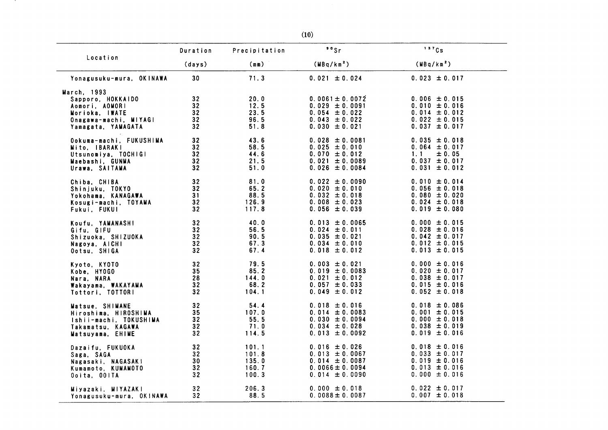|                          | Duration        | Precipitation | $^{\circ}$ $^{\circ}$ Sr | 137Cs                  |
|--------------------------|-----------------|---------------|--------------------------|------------------------|
| Location                 | (days)          | (mn)          | (MBq/km <sup>2</sup> )   | (MBq/km <sup>2</sup> ) |
| Yonagusuku-mura, OKINAWA | 30              | 71.3          | $0.021 \pm 0.024$        | $0.023 \pm 0.017$      |
| March, 1993              |                 |               |                          |                        |
| Sapporo, HOKKAIDO        | 32              | 20.0          | $0.0061 \pm 0.0072$      | $0.006 \pm 0.015$      |
| Aomori, AOMORI           | 32              | 12.5          | $0.029 \pm 0.0091$       | $0.010 \pm 0.016$      |
| Morioka, IWATE           | 32              | 23.5          | $0.054 \pm 0.022$        | $0.014 \pm 0.012$      |
| Onagawa-machi, MIYAGI    | 32              | 96.5          | $0.043 \pm 0.022$        | $0.022 \pm 0.015$      |
| Yamagata, YAMAGATA       | 32              | 51.8          | $0.030 \pm 0.021$        | $0.037 \pm 0.017$      |
| Ookuma-machi, FUKUSHIMA  | 32              | 43.6          | $0.028 \pm 0.0081$       | $0.035 \pm 0.018$      |
| Mito, IBARAKI            | 32 <sub>2</sub> | 58.5          | $0.025 \pm 0.010$        | $0.064 \pm 0.017$      |
| Utsunomiya. TOCHIGI      | 32              | 44.6          | $0.070 \pm 0.012$        | 1.1<br>± 0.05          |
| Maebashi, GUNMA          | 32              | 21.5          | $0.021 \pm 0.0089$       | $0.037 \pm 0.017$      |
| Urawa, SAITAMA           | 32              | 51.0          | $0.026 \pm 0.0084$       | $0.031 \pm 0.012$      |
| Chiba, CHIBA             | 32              | 81.0          | $0.022 \pm 0.0090$       | $0.010 \pm 0.014$      |
| Shinjuku, TOKYO          | 32              | 65.2          | $0.020 \pm 0.010$        | $0.056 \pm 0.018$      |
| Yokohama, KANAGAWA       | 31              | 88.5          | $0.032 \pm 0.018$        | $0.080 \pm 0.020$      |
| Kosugi-machi, TOYAMA     | 32              | 126.9         | $0.008 \pm 0.023$        | $0.024 \pm 0.018$      |
| Fukui, FUKUI             | 32              | 117.8         | $0.056 \pm 0.039$        | $0.019 \pm 0.080$      |
| Koufu, YAMANASHI         | 32 <sup>°</sup> | 40.0          | $0.013 \pm 0.0065$       | $0.000 \pm 0.015$      |
| Gifu, GIFU               | 32              | 56.5          | $0.024 \pm 0.011$        | $0.028 \pm 0.016$      |
| Shizuoka, SHIZUOKA       | 32              | 90.5          | $0.035 \pm 0.021$        | $0.042 \pm 0.017$      |
| Nagoya, AICHI            | 32              | 67.3          | $0.034 \pm 0.010$        | $0.012 \pm 0.015$      |
| Ootsu, SHIGA             | 32              | 67.4          | $0.018 \pm 0.012$        | $0.013 \pm 0.015$      |
| Kyoto, KYOTO             | 32              | 79.5          | $0.003 \pm 0.021$        | $0.000 \pm 0.016$      |
| Kobe, HYOGO              | 35              | 85.2          | $0.019 \pm 0.0083$       | $0.020 \pm 0.017$      |
| Nara, NARA               | 28              | 144.0         | $0.021 \pm 0.012$        | $0.038 \pm 0.017$      |
| Wakayama, WAKAYAMA       | 32              | 68.2          | $0.057 \pm 0.033$        | $0.015 \pm 0.016$      |
| Tottori, TOTTORI         | 32              | 104.1         | $0.049 \pm 0.012$        | $0.052 \pm 0.018$      |
| Matsue, SHIMANE          | 32              | 54.4          | $0.018 \pm 0.016$        | $0.018 \pm 0.086$      |
| Hiroshima, HIROSHIMA     | 35              | 107.0         | $0.014 \pm 0.0083$       | $0.001 \pm 0.015$      |
| Ishii-machi, TOKUSHIMA   | 32              | 55.5          | $0.030 \pm 0.0094$       | $0.000 \pm 0.018$      |
| Takamatsu, KAGAWA        | 32              | 71.0          | $0.034 \pm 0.028$        | $0.038 \pm 0.019$      |
| Matsuyama, EHIME         | 32              | 114.5         | $0.013 \pm 0.0092$       | $0.019 \pm 0.016$      |
| Dazaifu, FUKUOKA         | 32              | 101.1         | $0.016 \pm 0.026$        | $0.018 \pm 0.016$      |
| Saga, SAGA               | 32              | 101.8         | $0.013 \pm 0.0067$       | $0.033 \pm 0.017$      |
| Nagasaki, NAGASAKI       | 30              | 135.0         | $0.014 \pm 0.0087$       | $0.019 \pm 0.016$      |
| Kumamoto, KUMAMOTO       | 32              | 160.7         | $0.0066 \pm 0.0094$      | $0.013 \pm 0.016$      |
| Ooita, OOITA             | 32              | 100.3         | $0.014 \pm 0.0090$       | $0.000 \pm 0.016$      |
| Miyazaki, MIYAZAKI       | 32              | 206.3         | $0.000 \pm 0.018$        | $0.022 \pm 0.017$      |
| Yonagusuku-mura, OKINAWA | 32              | 88.5          | $0.0088 \pm 0.0087$      | $0.007 \pm 0.018$      |

 $\sim$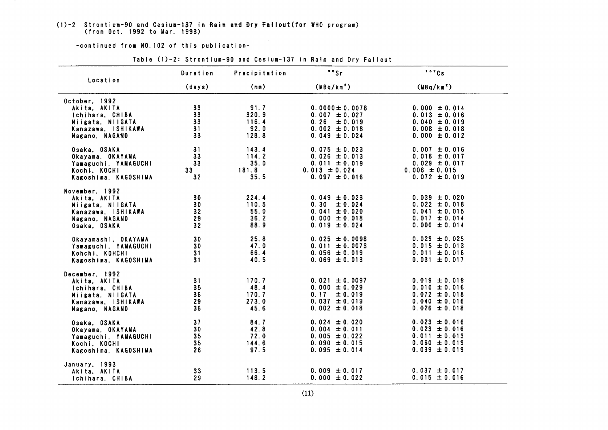#### (1)-2 Strontium-90 and Cesium-137 in Rain and Dry Fallout (for WHO program) (from Oct. 1992 to Mar. 1993)

-continued from NO. 102 of this publication-

|                                                                                                               | Duration                                             | Precipitation                           | "s                                                                                                        | 137Cs                                                                                                 |
|---------------------------------------------------------------------------------------------------------------|------------------------------------------------------|-----------------------------------------|-----------------------------------------------------------------------------------------------------------|-------------------------------------------------------------------------------------------------------|
| Location                                                                                                      | (days)                                               | (mn)                                    | (MBq/km <sup>2</sup> )                                                                                    | (MBq/km <sup>2</sup> )                                                                                |
| October, 1992<br>Akita, AKITA<br>Ichihara, CHIBA<br>Niigata, NIIGATA<br>Kanazawa, ISHIKAWA<br>Nagano, NAGANO  | 33<br>33<br>33<br>31<br>33                           | 91.7<br>320.9<br>116.4<br>92.0<br>128.8 | $0.0000 \pm 0.0078$<br>$0.007 \pm 0.027$<br>0.26<br>$\pm 0.019$<br>$0.002 \pm 0.018$<br>$0.049 \pm 0.024$ | $0.000 \pm 0.014$<br>$0.013 \pm 0.016$<br>$0.040 \pm 0.019$<br>$0.008 \pm 0.018$<br>$0.000 \pm 0.012$ |
| Osaka, OSAKA<br>Okayama, OKAYAMA<br>Yamaguchi, YAMAGUCHI<br>Kochi, KOCHI<br>Kagoshima, KAGOSHIMA              | 31<br>33 <sub>3</sub><br>33<br>33<br>32              | 143.4<br>114.2<br>35.0<br>181.8<br>35.5 | $0.075 \pm 0.023$<br>$0.026 \pm 0.013$<br>$0.011 \pm 0.019$<br>$0.013 \pm 0.024$<br>$0.097 \pm 0.016$     | $0.007 \pm 0.016$<br>$0.018 \pm 0.017$<br>$0.029 \pm 0.017$<br>$0.006 \pm 0.015$<br>$0.072 \pm 0.019$ |
| November, 1992<br>Akita, AKITA<br>Niigata, NIIGATA<br>Kanazawa, ISHIKAWA<br>Nagano, NAGANO<br>Osaka, OSAKA    | 30<br>30 <sub>o</sub><br>32 <sub>2</sub><br>29<br>32 | 224.4<br>110.5<br>55.0<br>36.2<br>88.9  | $0.049 \pm 0.023$<br>0.30<br>± 0.024<br>$0.041 \pm 0.020$<br>$0.000 \pm 0.018$<br>$0.019 \pm 0.024$       | $0.039 \pm 0.020$<br>$0.022 \pm 0.018$<br>$0.041 \pm 0.015$<br>$0.017 \pm 0.014$<br>$0.000 \pm 0.014$ |
| Okayamashi, OKAYAMA<br>Yamaguchi, YAMAGUCHI<br>Kohchi, KOHCHI<br>Kagoshima, KAGOSHIMA                         | 30<br>30<br>31<br>31                                 | 25.8<br>47.0<br>66.4<br>40.5            | $0.025 \pm 0.0098$<br>$0.011 \pm 0.0073$<br>$0.056 \pm 0.019$<br>$0.069 \pm 0.013$                        | $0.029 \pm 0.025$<br>$0.015 \pm 0.013$<br>$0.011 \pm 0.016$<br>$0.031 \pm 0.017$                      |
| December, 1992<br>Akita, AKITA<br>Ichihara, CHIBA<br>Niigata, NIIGATA<br>Kanazawa, ISHIKAWA<br>Nagano, NAGANO | 31<br>35<br>36<br>29<br>36                           | 170.7<br>48.4<br>170.7<br>273.0<br>45.6 | $0.021 \pm 0.0097$<br>$0.000 \pm 0.029$<br>$0.17 \pm 0.019$<br>$0.037 \pm 0.019$<br>$0.002 \pm 0.018$     | $0.019 \pm 0.019$<br>$0.010 \pm 0.016$<br>$0.072 \pm 0.018$<br>$0.040 \pm 0.016$<br>$0.026 \pm 0.018$ |
| Osaka, OSAKA<br>Okayama, OKAYAMA<br>Yamaguchi, YAMAGUCHI<br>Kochi, KOCHI<br>Kagoshima, KAGOSHIMA              | 37<br>30<br>35<br>35<br>26                           | 84.7<br>42.8<br>72.0<br>144.6<br>97.5   | $0.024 \pm 0.020$<br>$0.004 \pm 0.011$<br>$0.005 \pm 0.022$<br>$0.090 \pm 0.015$<br>$0.095 \pm 0.014$     | $0.023 \pm 0.016$<br>$0.023 \pm 0.016$<br>$0.011 \pm 0.013$<br>$0.060 \pm 0.019$<br>$0.039 \pm 0.019$ |
| January, 1993<br>Akita, AKITA<br>Ichihara, CHIBA                                                              | 33<br>29                                             | 113.5<br>148.2                          | $0.009 \pm 0.017$<br>$0.000 \pm 0.022$                                                                    | $0.037 \pm 0.017$<br>$0.015 \pm 0.016$                                                                |

#### Table (1)-2: Strontium-90 and Cesium-137 in Rain and Dry Fallout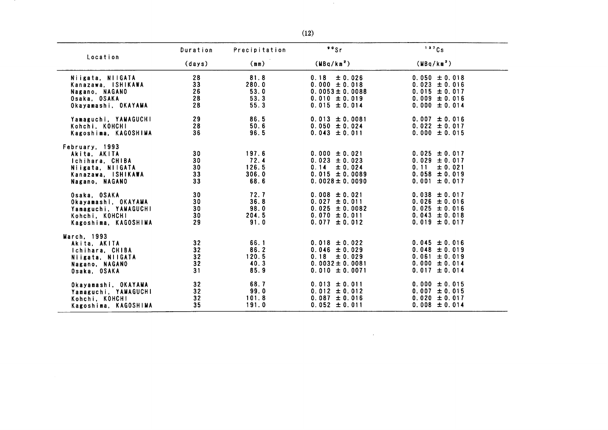|                                                                                                               | Duration                                | Precipitation                           | $80$ Sr                                                                                                    | 137Cs                                                                                                   |
|---------------------------------------------------------------------------------------------------------------|-----------------------------------------|-----------------------------------------|------------------------------------------------------------------------------------------------------------|---------------------------------------------------------------------------------------------------------|
| Location                                                                                                      | (days)                                  | (mm)                                    | (MBq/km <sup>2</sup> )                                                                                     | (MBq/km <sup>2</sup> )                                                                                  |
| Niigata, NIIGATA<br>Kanazawa, ISHIKAWA<br>Nagano, NAGANO                                                      | 28<br>33<br>26                          | 81.8<br>280.0<br>53.0                   | ± 0.026<br>0.18<br>$0.000 \pm 0.018$<br>$0.0053 \pm 0.0088$                                                | $0.050 \pm 0.018$<br>$0.023 \pm 0.016$<br>$0.015 \pm 0.017$                                             |
| Osaka, OSAKA<br>Okayamashi, OKAYAMA                                                                           | 28<br>28                                | 53.3<br>55.3                            | $0.010 \pm 0.019$<br>$0.015 \pm 0.014$                                                                     | $0.009 \pm 0.016$<br>$0.000 \pm 0.014$                                                                  |
| Yamaguchi, YAMAGUCHI<br>Kohchi, KOHCHI<br>Kagoshima, KAGOSHIMA                                                | 29<br>28<br>36                          | 86.5<br>50.6<br>96.5                    | $0.013 \pm 0.0081$<br>$0.050 \pm 0.024$<br>$0.043 \pm 0.011$                                               | $0.007 \pm 0.016$<br>$0.022 \pm 0.017$<br>$0.000 \pm 0.015$                                             |
| February, 1993<br>Akita, AKITA<br>Ichihara, CHIBA<br>Niigata, NIIGATA<br>Kanazawa, ISHIKAWA<br>Nagano, NAGANO | 30<br>30<br>30<br>33<br>33              | 197.6<br>72.4<br>126.5<br>306.0<br>68.6 | $0.000 \pm 0.021$<br>$0.023 \pm 0.023$<br>0.14<br>± 0.024<br>$0.015 \pm 0.0089$<br>$0.0028 \pm 0.0090$     | $0.025 \pm 0.017$<br>$0.029 \pm 0.017$<br>0.11<br>$\pm 0.021$<br>$0.058 \pm 0.019$<br>$0.001 \pm 0.017$ |
| Osaka, OSAKA<br>Okayamashi, OKAYAMA<br>Yamaguchi, YAMAGUCHI<br>Kohchi, KOHCHI<br>Kagoshima, KAGOSHIMA         | 30 <sub>o</sub><br>30<br>30<br>30<br>29 | 72.7<br>36.8<br>98.0<br>204.5<br>91.0   | $0.008 \pm 0.021$<br>$0.027 \pm 0.011$<br>$0.025 \pm 0.0082$<br>$0.070 \pm 0.011$<br>$0.077 \pm 0.012$     | $0.038 \pm 0.017$<br>$0.026 \pm 0.016$<br>$0.025 \pm 0.016$<br>$0.043 \pm 0.018$<br>$0.019 \pm 0.017$   |
| March. 1993<br>Akita. AKITA<br>Ichihara, CHIBA<br>Niigata, NIIGATA<br>Nagano, NAGANO<br>Osaka, OSAKA          | 32<br>32<br>32<br>32<br>31              | 66.1<br>86.2<br>120.5<br>40.3<br>85.9   | $0.018 \pm 0.022$<br>$0.046 \pm 0.029$<br>0.18<br>$\pm 0.029$<br>$0.0032 \pm 0.0081$<br>$0.010 \pm 0.0071$ | $0.045 \pm 0.016$<br>$0.048 \pm 0.019$<br>$0.061 \pm 0.019$<br>$0.000 \pm 0.014$<br>$0.017 \pm 0.014$   |
| Okayamashi, OKAYAMA<br>Yamaguchi, YAMAGUCHI<br>Kohchi, KOHCHI<br>Kagoshima, KAGOSHIMA                         | 32<br>32<br>32<br>35                    | 68.7<br>99.0<br>101.8<br>191.0          | $0.013 \pm 0.011$<br>$0.012 \pm 0.012$<br>$0.087 \pm 0.016$<br>$0.052 \pm 0.011$                           | $0.000 \pm 0.015$<br>$0.007 \pm 0.015$<br>$0.020 \pm 0.017$<br>$0.008 \pm 0.014$                        |

 $\sim 10^6$ 

 $\sim 10^7$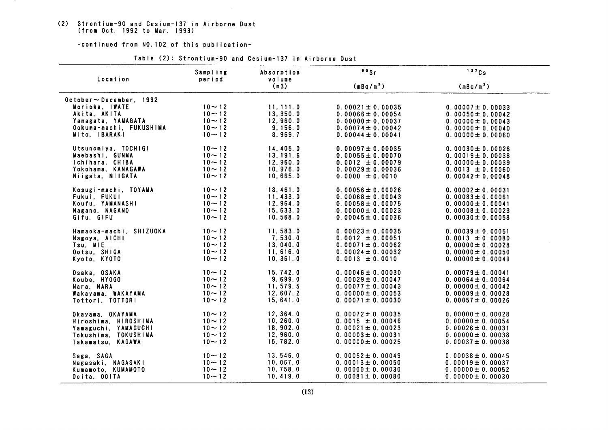(2) Strontium-90 and Cesium-137 in Airborne Dust<br>(from Oct. 1992 to Mar. 1993)

-continued from NO. 102 of this publication-

|                                          | Sampling               | Absorption         | "Sr                   | 137Cs                 |  |
|------------------------------------------|------------------------|--------------------|-----------------------|-----------------------|--|
| Location                                 | period                 | volume<br>(m3)     | (mBq/m <sup>3</sup> ) | (mBq/m <sup>3</sup> ) |  |
| $0$ ctober $\sim$ December, 1992         |                        |                    |                       |                       |  |
| Morioka, IWATE                           | $10 - 12$              | 11, 111.0          | $0.00021 \pm 0.00035$ | $0.00007 \pm 0.00033$ |  |
| Akita, AKITA                             | $10 - 12$              | 13, 350.0          | $0.00066 \pm 0.00054$ | $0.00050 \pm 0.00042$ |  |
| Yamagata, YAMAGATA                       | $10 - 12$              | 12,960.0           | $0.00000 \pm 0.00037$ | $0.00000 \pm 0.00043$ |  |
| Ookuma-machi, FUKUSHIMA<br>Mito, IBARAKI | $10 - 12$<br>$10 - 12$ | 9.156.0<br>8,969.7 | $0.00074 \pm 0.00042$ | $0.00000 \pm 0.00040$ |  |
|                                          |                        |                    | $0.00044 \pm 0.00041$ | $0.00000 \pm 0.00060$ |  |
| Utsunomiya, TOCHIGI                      | $10 - 12$              | 14,405.0           | $0.00097 \pm 0.00035$ | $0.00030 \pm 0.00026$ |  |
| Maebashi, GUNMA                          | $10 - 12$              | 13, 191.6          | $0.00055 \pm 0.00070$ | $0.00019 \pm 0.00038$ |  |
| Ichihara, CHIBA                          | $10 - 12$              | 12,960.0           | $0.0012 \pm 0.00079$  | $0.00000 \pm 0.00039$ |  |
| Yokohama, KANAGAWA                       | $10 - 12$              | 10.976.0           | $0.00029 \pm 0.00036$ | $0.0013 \pm 0.00060$  |  |
| Niigata, NIIGATA                         | $10 - 12$              | 10.665.0           | $0.0000 \pm 0.0010$   | $0.00042 \pm 0.00048$ |  |
| Kosugi-machi, TOYAMA                     | $10 - 12$              | 18.461.0           | $0.00056 \pm 0.00026$ | $0.00002 \pm 0.00031$ |  |
| Fukui, FUKUI                             | $10 - 12$              | 11.433.0           | $0.00068 \pm 0.00043$ | $0.00083 \pm 0.00061$ |  |
| Koufu. YAMANASHI                         | $10 - 12$              | 12, 964.0          | $0.00058 \pm 0.00075$ | $0.00000 \pm 0.00041$ |  |
| Nagano, NAGANO                           | $10 - 12$              | 15,633.0           | $0.00000 \pm 0.00023$ | $0.00008 \pm 0.00023$ |  |
| Gifu, GIFU                               | $10 - 12$              | 10, 568.0          | $0.00045 \pm 0.00036$ | $0.00030 \pm 0.00058$ |  |
| Hamaoka-machi, SHIZUOKA                  | $10 - 12$              | 11,583.0           | $0.00023 \pm 0.00035$ | $0.00039 \pm 0.00051$ |  |
| Nagoya, AICHI                            | $10 - 12$              | 7.530.0            | $0.0012 \pm 0.00051$  | $0.0013 \pm 0.00080$  |  |
| Tsu, MIE                                 | $10 - 12$              | 13,040.0           | $0.00071 \pm 0.00062$ | $0.00000 \pm 0.00028$ |  |
| Ootsu, SHIGA                             | $10 - 12$              | 11, 616.0          | $0.00024 \pm 0.00032$ | $0.00000 \pm 0.00050$ |  |
| Kyoto, KYOTO                             | $10 - 12$              | 10, 361.0          | $0.0013 \pm 0.0010$   | $0.00000 \pm 0.00049$ |  |
| Osaka, OSAKA                             | $10 - 12$              | 15,742.0           | $0.00046 \pm 0.00030$ | $0.00079 \pm 0.00041$ |  |
| Koube, HY0GO                             | $10 - 12$              | 9,699.0            | $0.00029 \pm 0.00047$ | $0.00064 \pm 0.00064$ |  |
| Nara, NARA                               | $10 - 12$              | 11,579.5           | $0.00077 \pm 0.00043$ | $0.00000 \pm 0.00042$ |  |
| Wakayama, WAKAYAMA                       | $10 - 12$              | 12.607.2           | $0.00000 \pm 0.00053$ | $0.00009 \pm 0.00028$ |  |
| Tottori, TOTTORI                         | $10 - 12$              | 15,641.0           | $0.00071 \pm 0.00030$ | $0.00057 \pm 0.00026$ |  |
|                                          |                        | 12, 364.0          | $0.00072 \pm 0.00035$ | $0.00000 \pm 0.00028$ |  |
| Okayama, OKAYAMA<br>Hiroshima, HIROSHIMA | $10 - 12$<br>$10 - 12$ | 10, 260.0          | $0.0015 \pm 0.00046$  | $0.00000 \pm 0.00054$ |  |
| Yamaguchi, YAMAGUCHI                     | $10 - 12$              | 18, 902.0          | $0.00021 \pm 0.00023$ | $0.00026 \pm 0.00031$ |  |
| Tokushima, TOKUSHIMA                     | $10 - 12$              | 12, 960.0          | $0.00003 \pm 0.00031$ | $0.00000 \pm 0.00038$ |  |
| Takamatsu. KAGAWA                        | $10 - 12$              | 15,782.0           | $0.00000 \pm 0.00025$ | $0.00037 \pm 0.00038$ |  |
|                                          |                        |                    |                       |                       |  |
| Saga, SAGA                               | $10 - 12$              | 13,546.0           | $0.00052 \pm 0.00049$ | $0.00038 \pm 0.00045$ |  |
| Nagasaki, NAGASAKI                       | $10 - 12$              | 10,067.0           | $0.00013 \pm 0.00050$ | $0.00019 \pm 0.00037$ |  |
| Kumamoto, KUMAMOTO                       | $10 - 12$              | 10, 758.0          | $0.00000 \pm 0.00030$ | $0.00000 \pm 0.00052$ |  |
| Ooita, OOITA                             | $10 - 12$              | 10, 419.0          | $0.00081 \pm 0.00080$ | $0.00000 \pm 0.00030$ |  |

Table (2): Strontium-90 and Cesium-137 in Airborne Dust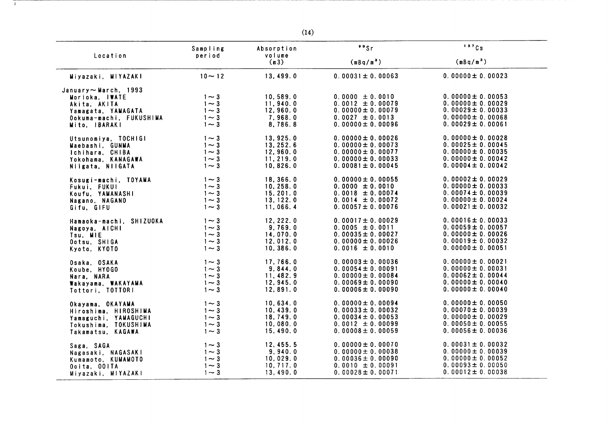|                                                                                                                                | Sampling                                              | Absorption                                             | $\cdot$ $\cdot$ Sr                                                                                                   | 137Cs                                                                                                                     |
|--------------------------------------------------------------------------------------------------------------------------------|-------------------------------------------------------|--------------------------------------------------------|----------------------------------------------------------------------------------------------------------------------|---------------------------------------------------------------------------------------------------------------------------|
| Location                                                                                                                       | period                                                | volume<br>(m3)                                         | (mBq/m <sup>3</sup> )                                                                                                | (mBq/m <sup>3</sup> )                                                                                                     |
| Miyazaki, MIYAZAKI                                                                                                             | $10 - 12$                                             | 13,499.0                                               | $0.00031 \pm 0.00063$                                                                                                | $0.00000 \pm 0.00023$                                                                                                     |
| January $\sim$ March, 1993<br>Morioka, IWATE<br>Akita, AKITA<br>Yamagata, YAMAGATA<br>Ookuma-machi, FUKUSHIMA<br>Mito, IBARAKI | $1 - 3$<br>$1 - 3$<br>$1\sim 3$<br>$1 - 3$<br>$1 - 3$ | 10,589.0<br>11,940.0<br>12,960.0<br>7.968.0<br>8,786.8 | $0.0000 \pm 0.0010$<br>$0.0012 \pm 0.00079$<br>$0.00000 \pm 0.00079$<br>$0.0027 \pm 0.0013$<br>$0.00000 \pm 0.00096$ | $0.00000 \pm 0.00053$<br>$0.00000 \pm 0.00029$<br>$0.00029 \pm 0.00033$<br>$0.00000 \pm 0.00068$<br>$0.00029 \pm 0.00061$ |
| Utsunomiya, TOCHIGI                                                                                                            | $1 \sim 3$                                            | 13,925.0                                               | $0.00000 \pm 0.00026$                                                                                                | $0.00000 \pm 0.00028$                                                                                                     |
| Maebashi, GUNMA                                                                                                                | $1 \sim 3$                                            | 13, 252.6                                              | $0.00000 \pm 0.00073$                                                                                                | $0.00025 \pm 0.00045$                                                                                                     |
| Ichihara, CHIBA                                                                                                                | $1 - 3$                                               | 12, 960.0                                              | $0.00000 \pm 0.00077$                                                                                                | $0.00000 \pm 0.00035$                                                                                                     |
| Yokohama. KANAGAWA                                                                                                             | $1 - 3$                                               | 11.219.0                                               | $0.00000 \pm 0.00033$                                                                                                | $0.00000 \pm 0.00042$                                                                                                     |
| Niigata, NIIGATA                                                                                                               | $1 - 3$                                               | 10, 826.0                                              | $0.00081 \pm 0.00045$                                                                                                | $0.00004 \pm 0.00042$                                                                                                     |
| Kosugi-machi, TOYAMA                                                                                                           | $1 - 3$                                               | 18,366.0                                               | $0.00000 \pm 0.00055$                                                                                                | $0.00002 \pm 0.00029$                                                                                                     |
| Fukui, FUKUI                                                                                                                   | $1 - 3$                                               | 10, 258.0                                              | $0.0000 \pm 0.0010$                                                                                                  | $0.00000 \pm 0.00033$                                                                                                     |
| Koufu, YAMANASHI                                                                                                               | $1\sim 3$                                             | 15, 201.0                                              | $0.0018 \pm 0.00074$                                                                                                 | $0.00074 \pm 0.00039$                                                                                                     |
| Nagano, NAGANO                                                                                                                 | $1 - 3$                                               | 13, 122.0                                              | $0.0014 \pm 0.00072$                                                                                                 | $0.00000 \pm 0.00024$                                                                                                     |
| Gifu, GIFU                                                                                                                     | $1 - 3$                                               | 11,066.4                                               | $0.00057 \pm 0.00076$                                                                                                | $0.00021 \pm 0.00032$                                                                                                     |
| Hamaoka-machi, SHIZUOKA                                                                                                        | $1 - 3$                                               | 12, 222.0                                              | $0.00017 \pm 0.00029$                                                                                                | $0.00016 \pm 0.00033$                                                                                                     |
| Nagoya, AICHI                                                                                                                  | $1 \sim 3$                                            | 9,769.0                                                | $0.0005 \pm 0.0011$                                                                                                  | $0.00059 \pm 0.00057$                                                                                                     |
| Tsu, MIE                                                                                                                       | $1\sim 3$                                             | 14.070.0                                               | $0.00035 \pm 0.00027$                                                                                                | $0.00000 \pm 0.00026$                                                                                                     |
| Ootsu, SHIGA                                                                                                                   | $1\sim 3$                                             | 12.012.0                                               | $0.00000 \pm 0.00026$                                                                                                | $0.00019 \pm 0.00032$                                                                                                     |
| Kyoto, KYOTO                                                                                                                   | $1 - 3$                                               | 10,386.0                                               | $0.0016 \pm 0.0010$                                                                                                  | $0.00000 \pm 0.00051$                                                                                                     |
| Osaka, OSAKA                                                                                                                   | $1 - 3$                                               | 17.766.0                                               | $0.00003 \pm 0.00036$                                                                                                | $0.00000 \pm 0.00021$                                                                                                     |
| Koube. HYOGO                                                                                                                   | $1 \sim 3$                                            | 9, 844.0                                               | $0.00054 \pm 0.00091$                                                                                                | $0.00000 \pm 0.00031$                                                                                                     |
| Nara, NARA                                                                                                                     | $1 - 3$                                               | 11,482.9                                               | $0.00000 \pm 0.00084$                                                                                                | $0.00062 \pm 0.00044$                                                                                                     |
| Wakayama, WAKAYAMA                                                                                                             | $1 - 3$                                               | 12, 945.0                                              | $0.00069 \pm 0.00090$                                                                                                | $0.00000 \pm 0.00040$                                                                                                     |
| Tottori, TOTTORI                                                                                                               | $1\sim 3$                                             | 12,891.0                                               | $0.00006 \pm 0.00090$                                                                                                | $0.00000 \pm 0.00040$                                                                                                     |
| Okayama, OKAYAMA                                                                                                               | $1 \sim 3$                                            | 10,634.0                                               | $0.00000 \pm 0.00094$                                                                                                | $0.00000 \pm 0.00050$                                                                                                     |
| Hiroshima, HIROSHIMA                                                                                                           | $1 \sim 3$                                            | 10, 439.0                                              | $0.00033 \pm 0.00032$                                                                                                | $0.00070 \pm 0.00039$                                                                                                     |
| Yamaguchi, YAMAGUCHI                                                                                                           | $1 \sim 3$                                            | 18,749.0                                               | 0.00034 $\pm$ 0.00053                                                                                                | $0.00000 \pm 0.00029$                                                                                                     |
| Tokushima, TOKUSHIMA                                                                                                           | $1\sim 3$                                             | 10,080.0                                               | $0.0012 \pm 0.00099$                                                                                                 | $0.00050 \pm 0.00055$                                                                                                     |
| Takamatsu, KAGAWA                                                                                                              | $1 - 3$                                               | 15,490.0                                               | $0.00008 \pm 0.00059$                                                                                                | $0.00056 \pm 0.00036$                                                                                                     |
| Saga, SAGA                                                                                                                     | $1 - 3$                                               | 12, 455.5                                              | $0.00000 \pm 0.00070$                                                                                                | $0.00031 \pm 0.00032$                                                                                                     |
| Nagasaki, NAGASAKI                                                                                                             | $1 - 3$                                               | 9,940.0                                                | $0.00000 \pm 0.00038$                                                                                                | $0.00000 \pm 0.00039$                                                                                                     |
| Kumamoto, KUMAMOTO                                                                                                             | $1 \sim 3$                                            | 10,029.0                                               | $0.00036 \pm 0.00090$                                                                                                | $0.00000 \pm 0.00052$                                                                                                     |
| Ooita, OOITA                                                                                                                   | $1\sim 3$                                             | 10, 717.0                                              | $0.0010 \pm 0.00091$                                                                                                 | $0.00093 \pm 0.00050$                                                                                                     |
| Miyazaki, MIYAZAKI                                                                                                             | $1 - 3$                                               | 13,490.0                                               | $0.00028 \pm 0.00071$                                                                                                | $0.00012 \pm 0.00038$                                                                                                     |

 $\overline{1}$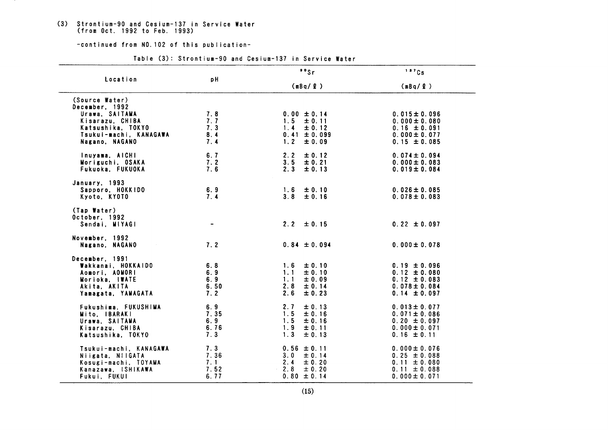# (3) Strontium-90 and Cesium-137 in Service Water<br>(from Oct. 1992 to Feb. 1993)

-continued from NO. 102 of this publication-

|  |  | Table (3): Strontium-90 and Cesium-137 in Service Water |  |  |  |  |  |
|--|--|---------------------------------------------------------|--|--|--|--|--|
|--|--|---------------------------------------------------------|--|--|--|--|--|

|                                          |            | $\cdot$ $\cdot$ sr                 | 137Cs<br>(mBq/g)                      |  |
|------------------------------------------|------------|------------------------------------|---------------------------------------|--|
| Location                                 | pH         | (mBq/g)                            |                                       |  |
| (Source Water)<br>December, 1992         |            |                                    |                                       |  |
| Urawa, SAITAMA                           | 7.8        | $0.00 \pm 0.14$                    | $0.015 \pm 0.096$                     |  |
| Kisarazu, CHIBA                          | 7.7        | $1.5 \pm 0.11$                     | $0.000 \pm 0.080$                     |  |
| Katsushika, TOKYO                        | 7.3        | 1.4<br>± 0.12                      | $0.16 \pm 0.091$                      |  |
| Tsukui-machi, KANAGAWA<br>Nagano, NAGANO | 8.4<br>7.4 | $0.41 \pm 0.099$<br>$1.2 \pm 0.09$ | $0.000 \pm 0.077$<br>$0.15 \pm 0.085$ |  |
|                                          |            |                                    |                                       |  |
| Inuyama, AICHI                           | 6.7        | 2.2<br>± 0.12                      | $0.074 \pm 0.094$                     |  |
| Moriguchi, OSAKA                         | 7.2        | 3.5<br>± 0.21                      | $0.000 \pm 0.083$                     |  |
| Fukuoka, FUKUOKA                         | 7.6        | 2.3<br>± 0.13                      | $0.019 \pm 0.084$                     |  |
| January, 1993                            |            |                                    |                                       |  |
| Sapporo, HOKKIDO                         | 6.9        | $1.6 \pm 0.10$                     | $0.026 \pm 0.085$                     |  |
| Kyoto, KYOTO                             | 7.4        | $3.8 \pm 0.16$                     | $0.078 \pm 0.083$                     |  |
| (Tap Water)                              |            |                                    |                                       |  |
| October. 1992                            |            |                                    |                                       |  |
| Sendai, MIYAGI                           |            | $2.2 \pm 0.15$                     | $0.22 \pm 0.097$                      |  |
| November, 1992                           |            |                                    |                                       |  |
| Nagano, NAGANO                           | 7.2        | $0.84 \pm 0.094$                   | $0.000 \pm 0.078$                     |  |
| December, 1991                           |            |                                    |                                       |  |
| Wakkanai, HOKKAIDO                       | 6.8        | $1.6 \pm 0.10$                     | $0.19 \pm 0.096$                      |  |
| Aomori, AOMORI                           | 6.9        | 1.1<br>± 0.10                      | $0.12 \pm 0.080$                      |  |
| Morioka, IWATE                           | 6.9        | 1.1<br>± 0.09                      | $0.12 \pm 0.083$                      |  |
| Akita, AKITA                             | 6.50       | 2.8<br>± 0.14                      | $0.078 \pm 0.084$                     |  |
| Yamagata, YAMAGATA                       | 7.2        | 2.6<br>± 0.23                      | $0.14 \pm 0.097$                      |  |
| Fukushima, FUKUSHIMA                     | 6.9        | 2.7<br>± 0.13                      | $0.013 \pm 0.077$                     |  |
| Mito, IBARAKI                            | 7.35       | 1.5<br>± 0.16                      | $0.071 \pm 0.086$                     |  |
| Urawa, SAITAMA                           | 6.9        | $1.5 -$<br>± 0.16                  | $0.20 \pm 0.097$                      |  |
| Kisarazu, CHIBA                          | 6.76       | 1.9<br>± 0.11                      | $0.000 \pm 0.071$                     |  |
| Katsushika, TOKYO                        | 7.3        | 1.3<br>± 0.13                      | $0.16 \pm 0.11$                       |  |
| Tsukui-machi, KANAGAWA                   | 7.3        | $0.56 \pm 0.11$                    | $0.000 \pm 0.076$                     |  |
| Niigata, NIIGATA                         | 7.36       | $3.0 \pm 0.14$                     | $0.25 \pm 0.088$                      |  |
| Kosugi-machi, TOYAMA                     | 7.1        | 2.4<br>± 0.20                      | $0.11 \pm 0.080$                      |  |
| Kanazawa, ISHIKAWA                       | 7.52       | 2.8<br>± 0.20                      | $0.11 \pm 0.088$                      |  |
| Fukui, FUKUI                             | 6.77       | $0.80 \pm 0.14$                    | $0.000 \pm 0.071$                     |  |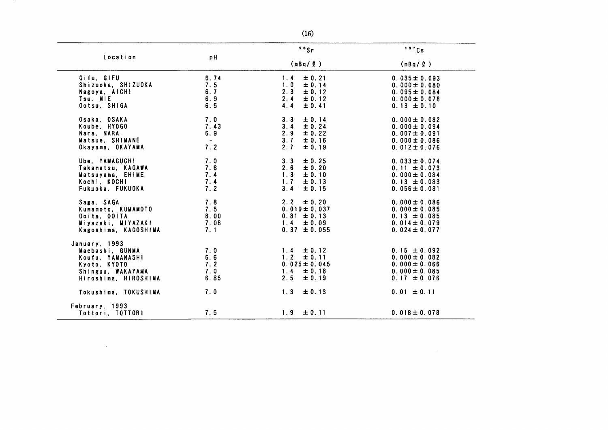| Location                                  | pH          | °s                                 | 137Cs                                 |
|-------------------------------------------|-------------|------------------------------------|---------------------------------------|
|                                           |             | (mBq/g)                            | (mBq / Q)                             |
| Gifu, GIFU                                | 6.74        | ± 0.21<br>1.4                      | $0.035 \pm 0.093$                     |
| Shizuoka, SHIZUOKA                        | 7.5         | 1.0<br>± 0.14                      | $0.000 \pm 0.080$                     |
| Nagoya, AICH!                             | 6.7         | 2.3<br>± 0.12                      | $0.095 \pm 0.084$                     |
| Tsu, MIE                                  | 6.9         | 2.4<br>$\pm 0.12$                  | $0.000 \pm 0.078$                     |
| Ootsu, SHIGA                              | 6.5         | 4.4<br>± 0.41                      | $0.13 \pm 0.10$                       |
| Osaka, OSAKA                              | 7.0         | 3.3<br>± 0.14                      | $0.000 \pm 0.082$                     |
| Koube, HYOGO                              | 7.43        | 3.4<br>± 0.24                      | $0.000 \pm 0.094$                     |
| Nara, NARA                                | 6.9         | 2.9<br>± 0.22                      | $0.007 \pm 0.091$                     |
| Matsue. SHIMANE                           | $\sim$ $-$  | 3.7<br>± 0.16                      | $0.000 \pm 0.086$                     |
| Okayama, OKAYAMA                          | 7.2         | 2.7<br>$\pm 0.19$                  | $0.012 \pm 0.076$                     |
| Ube. YAMAGUCHI                            | 7.0         | 3.3<br>± 0.25                      | $0.033 \pm 0.074$                     |
| Takamatsu, KAGAWA                         | 7.6         | 2.6<br>± 0.20                      | $0.11 \pm 0.073$                      |
| Matsuyama, EHIME                          | 7.4         | ± 0.10<br>1.3                      | $0.000 \pm 0.084$                     |
| Kochi, KOCHI                              | 7.4         | 1.7<br>$\pm 0.13$                  | $0.13 \pm 0.083$                      |
| Fukuoka, FUKUOKA                          | 7.2         | 3.4<br>± 0.15                      | $0.056 \pm 0.081$                     |
| Saga, SAGA                                | 7.8         | 2.2<br>± 0.20                      | $0.000 \pm 0.086$                     |
| Kumamoto, KUMAMOTO                        | 7.5         | $0.019 \pm 0.037$                  | $0.000 \pm 0.085$                     |
| Ooita, OOITA                              | 8.00        | $0.81 \pm 0.13$                    | $0.13 \pm 0.085$                      |
| Miyazaki, MIYAZAKI                        | 7.08        | 1.4<br>$\pm 0.09$                  | $0.014 \pm 0.079$                     |
| Kagoshima, KAGOSHIMA                      | 7.1         | $0.37 \pm 0.055$                   | $0.024 \pm 0.077$                     |
| January, 1993                             |             |                                    |                                       |
| Maebashi. GUNMA                           | 7.0         | $1.4 \pm 0.12$                     | $0.15 \pm 0.092$                      |
| Koufu. YAMANASHI                          | 6.6         | 1.2<br>± 0.11                      | $0.000 \pm 0.082$                     |
| Kyoto, KYOTO                              | 7.2         | $0.025 \pm 0.045$                  | $0.000 \pm 0.066$                     |
| Shinguu, WAKAYAMA<br>Hiroshima, HIROSHIMA | 7.0<br>6.85 | $1.4 -$<br>± 0.18<br>2.5<br>± 0.19 | $0.000 \pm 0.085$<br>$0.17 \pm 0.076$ |
|                                           |             |                                    |                                       |
| Tokushima, TOKUSHIMA                      | 7.0         | $1.3 -$<br>± 0.13                  | $0.01 \pm 0.11$                       |
| February, 1993                            |             |                                    |                                       |
| Tottori, TOTTORI                          | 7.5         | $1.9 \pm 0.11$                     | $0.018 \pm 0.078$                     |

 $\mathcal{L}(\mathcal{L}^{\mathcal{L}})$  . The set of  $\mathcal{L}^{\mathcal{L}}$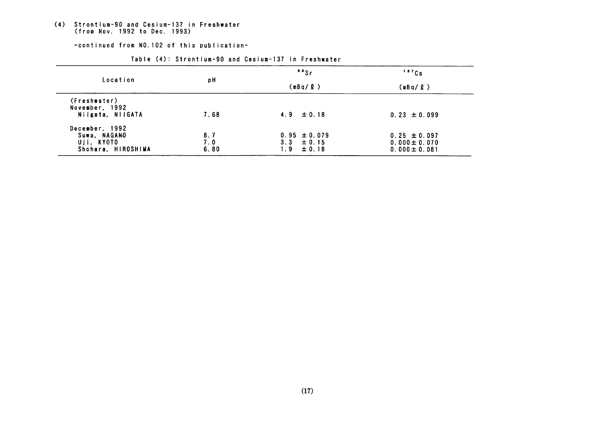# (4) Strontium-90 and Cesium-137 in Freshwater<br>(from Nov. 1992 to Dec. 1993)

-continued from NO. 102 of this publication-

| Location                       | рH   | $\cdot$ $\cdot$ sr | 137Cs             |  |
|--------------------------------|------|--------------------|-------------------|--|
|                                |      | (mBq/ℓ)            | (mBq/ <i>Ω</i> )  |  |
| (Freshwater)<br>November, 1992 |      |                    |                   |  |
| Niigata, NIIGATA               | 7.68 | $4.9 \pm 0.18$     | $0.23 \pm 0.099$  |  |
| December, 1992                 |      |                    |                   |  |
| Suwa, NAGANO                   | 8.7  | $0.95 \pm 0.079$   | $0.25 \pm 0.097$  |  |
| Uji, KYOTO                     | 7.0  | $3.3 \pm 0.15$     | $0.000 \pm 0.070$ |  |
| Shohara, HIROSHIMA             | 6.80 | 1.9<br>± 0.18      | $0.000 \pm 0.081$ |  |

#### Table (4): Strontium-90 and Cesium-137 in Freshwater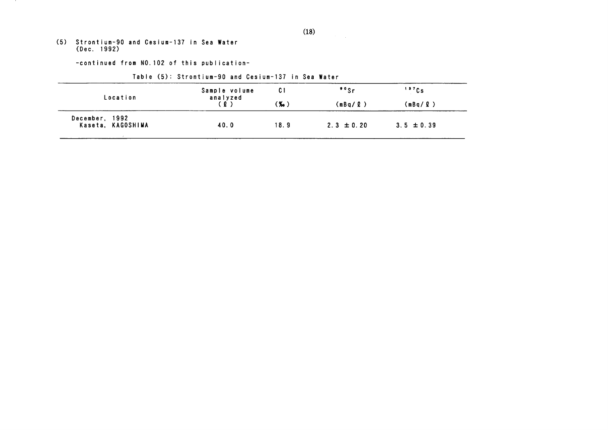(5) Strontium-90 and Cesium-137 in Sea Water<br>(Dec. 1992)

 $\mathbf{r}$ 

-continued from NO. 102 of this publication-

| Location                            | Sample volume<br>analyzed | C I    | $"$ s          | 137Cs          |
|-------------------------------------|---------------------------|--------|----------------|----------------|
|                                     | (0)                       | $(x_0$ | (mBq/ℓ)        | (mBa/2)        |
| December, 1992<br>Kaseta, KAGOSHIMA | 40.0                      | 18.9   | $2.3 \pm 0.20$ | $3.5 \pm 0.39$ |

Table (5): Strontium-90 and Cesium-137 in Sea Water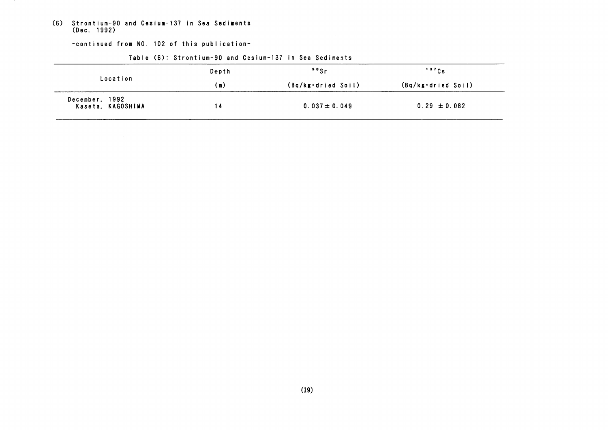(6) Strontium-90 and Cesium-137 in Sea Sediments<br>(Dec. 1992)

-continued from NO. 102 of this publication-

|                                     | Depth | $"$ s              | 137Cs              |  |
|-------------------------------------|-------|--------------------|--------------------|--|
| Location                            | (m)   | (Bq/kg·dried Soil) | (Bq/kg·dried Soil) |  |
| December, 1992<br>Kaseta, KAGOSHIMA |       | $0.037 \pm 0.049$  | $0.29 \pm 0.082$   |  |

### Table (6): Strontium-90 and Cesium-137 in Sea Sediments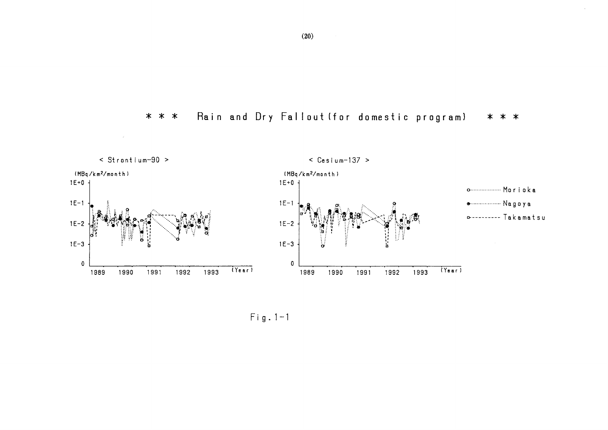$\sim$   $\omega$  $\leq$  Strontium-90 >  $\leq$  Cesium-137 > (MBq/km<sup>2</sup>/month) (MBq/km<sup>2</sup>/month)  $1E+0$  $1E + 0 +$  $1E-1$  $1E-1$ **a** .................. Nagoya **D---------- Takamatsu**  $1E-2$  $1E-2$ ۱.<br>ان W  $1E-3$  $1E-3$  $\mathbf 0$  $\mathbf 0$  $(Year)$  $(Year)$ 1990 1991 1992 1993 1989  $1992$ 1993 1989 1990 1991

#### Rain and Dry Fallout (for domestic program)  $\ast$  $* *$ \* \* \*

 $\sim$ 

 $Fig. 1-1$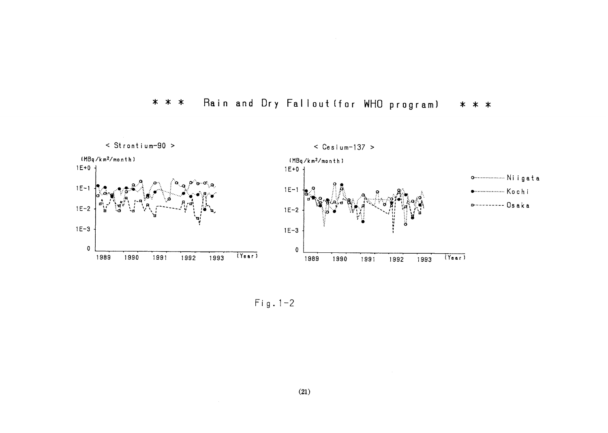

#### Rain and Dry Fallout (for WHO program) \* \* \* \* \* \*

 $Fig. 1-2$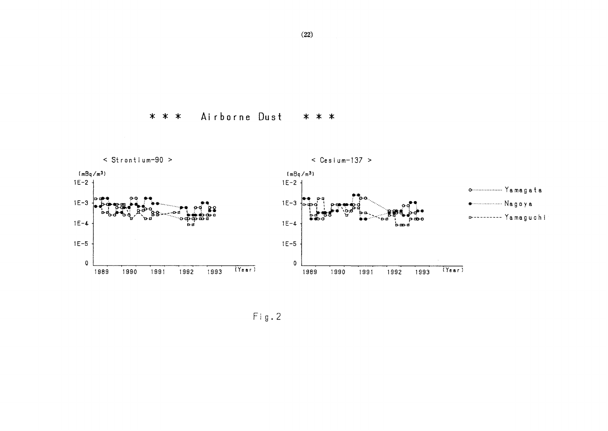Airborne Dust \* \* \* \* \* \*



 $Fig. 2$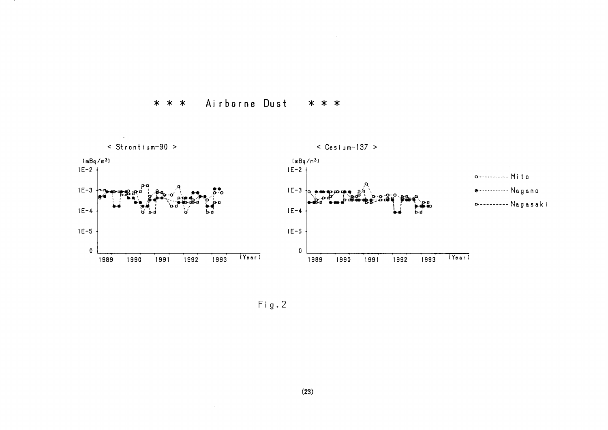

Airborne Dust \* \* \* \* \* \*

 $Fig. 2$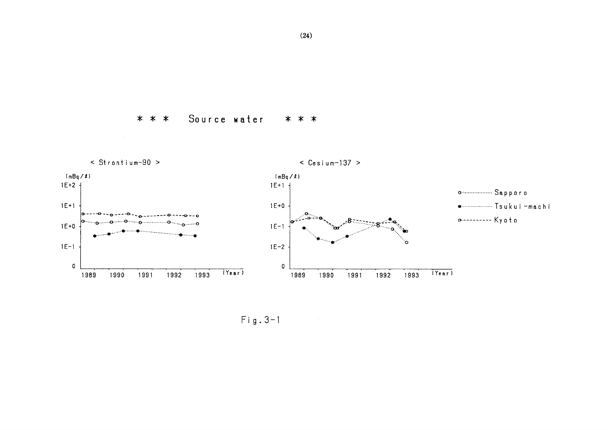# \* \* \* Source water \* \* \*



Fig.3-1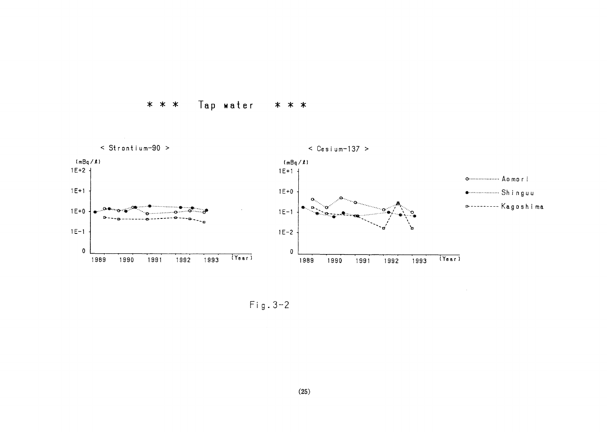



 $Fig. 3-2$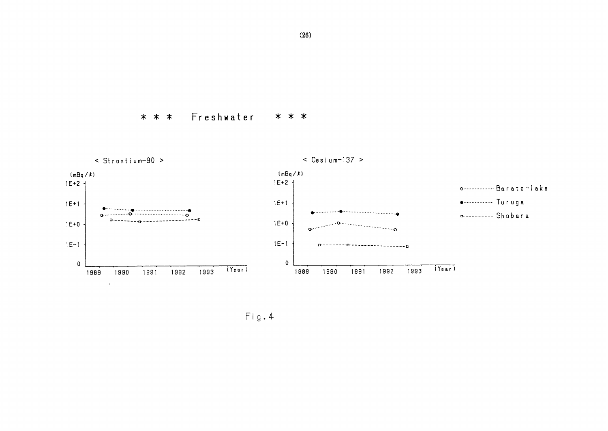Freshwater  $* * *$ \* \* \*



 $Fig. 4$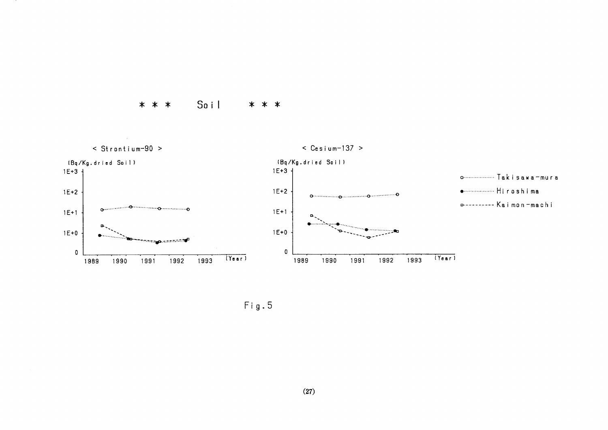



 $Fig. 5$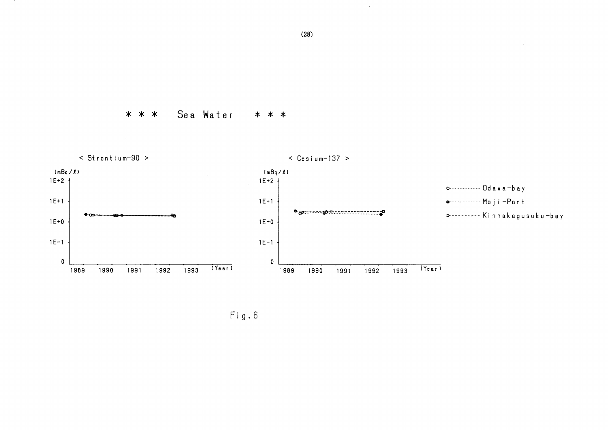Sea Water \* \* \* \* \* \*



 $Fig. 6$ 

 $\sim$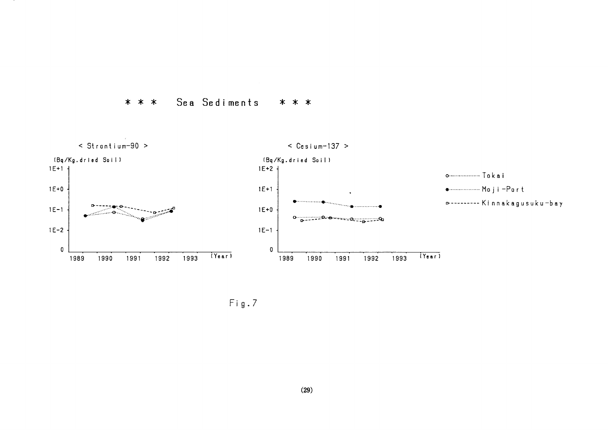



 $Fig.7$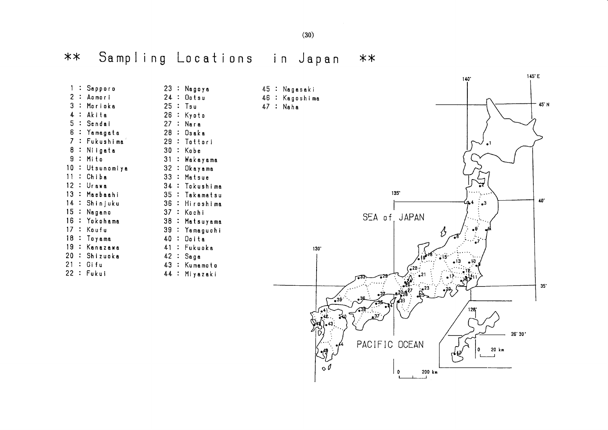$(30)$ 

#### Sampling Locations  $**$ in Japan  $***$

 $1:$  Sapporo 23 : Nagoya  $24 :$  Ootsu 2 : Aomori 3 : Morioka  $25 : Tsu$  $26 :$  Kyoto 4 : Akita 5 : Sendai  $27 : Nara$ 6 : Yamagata 28 : Osaka 7 : Fukushima 29 : Tottori 8 : Niigata 30 : Kobe  $9:$  Mito 31 : Wakayama 10 : Utsunomiya 32 : Okayama  $11:$  Chiba 33 : Matsue 12 : Urawa 34 : Tokushima 13 : Maebaahi 35 : Takamatsu 14 : Shinjuku 36 : Hiroshima 15 : Nagano 37 : Kochi 16 : Yokohama 38 : Matsuyama  $17 :$  Koufu 39 : Yamaguchi 18 : Tovama 40 : Doita 19 : Kanazawa 41 : Fukuoka 20 : Shizuoka  $42 : Saga$  $21 :$  Gifu 43 : Kumamoto 22 : Fukui 44 : Miyazaki





 $145'E$ 

 $140^{\circ}$